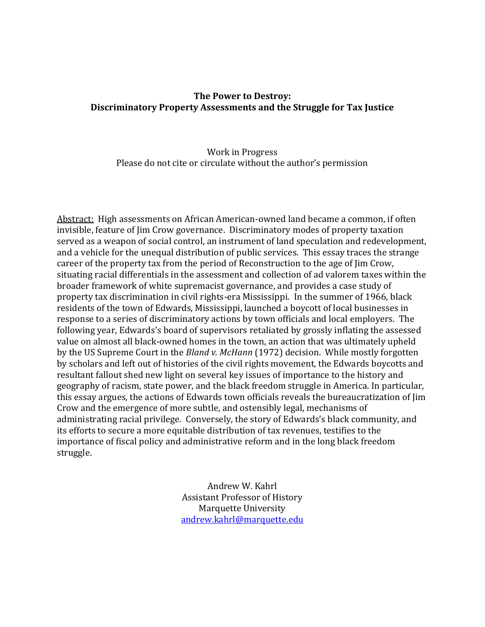## **The Power to Destroy: Discriminatory Property Assessments and the Struggle for Tax Justice**

## Work in Progress Please do not cite or circulate without the author's permission

Abstract: High assessments on African American-owned land became a common, if often invisible, feature of Jim Crow governance. Discriminatory modes of property taxation served as a weapon of social control, an instrument of land speculation and redevelopment, and a vehicle for the unequal distribution of public services. This essay traces the strange career of the property tax from the period of Reconstruction to the age of Jim Crow, situating racial differentials in the assessment and collection of ad valorem taxes within the broader framework of white supremacist governance, and provides a case study of property tax discrimination in civil rights-era Mississippi. In the summer of 1966, black residents of the town of Edwards, Mississippi, launched a boycott of local businesses in response to a series of discriminatory actions by town officials and local employers. The following year, Edwards's board of supervisors retaliated by grossly inflating the assessed value on almost all black-owned homes in the town, an action that was ultimately upheld by the US Supreme Court in the *Bland v. McHann* (1972) decision. While mostly forgotten by scholars and left out of histories of the civil rights movement, the Edwards boycotts and resultant fallout shed new light on several key issues of importance to the history and geography of racism, state power, and the black freedom struggle in America. In particular, this essay argues, the actions of Edwards town officials reveals the bureaucratization of Jim Crow and the emergence of more subtle, and ostensibly legal, mechanisms of administrating racial privilege. Conversely, the story of Edwards's black community, and its efforts to secure a more equitable distribution of tax revenues, testifies to the importance of fiscal policy and administrative reform and in the long black freedom struggle.

> Andrew W. Kahrl Assistant Professor of History Marquette University [andrew.kahrl@marquette.edu](mailto:andrew.kahrl@marquette.edu)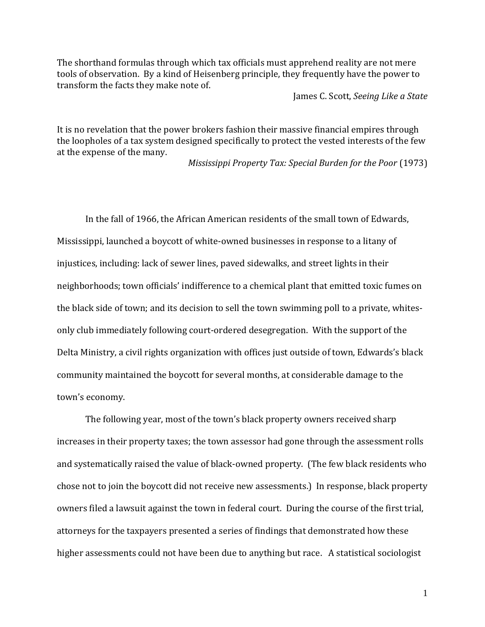The shorthand formulas through which tax officials must apprehend reality are not mere tools of observation. By a kind of Heisenberg principle, they frequently have the power to transform the facts they make note of.

James C. Scott, *Seeing Like a State*

It is no revelation that the power brokers fashion their massive financial empires through the loopholes of a tax system designed specifically to protect the vested interests of the few at the expense of the many.

*Mississippi Property Tax: Special Burden for the Poor* (1973)

In the fall of 1966, the African American residents of the small town of Edwards, Mississippi, launched a boycott of white-owned businesses in response to a litany of injustices, including: lack of sewer lines, paved sidewalks, and street lights in their neighborhoods; town officials' indifference to a chemical plant that emitted toxic fumes on the black side of town; and its decision to sell the town swimming poll to a private, whitesonly club immediately following court-ordered desegregation. With the support of the Delta Ministry, a civil rights organization with offices just outside of town, Edwards's black community maintained the boycott for several months, at considerable damage to the town's economy.

The following year, most of the town's black property owners received sharp increases in their property taxes; the town assessor had gone through the assessment rolls and systematically raised the value of black-owned property. (The few black residents who chose not to join the boycott did not receive new assessments.) In response, black property owners filed a lawsuit against the town in federal court. During the course of the first trial, attorneys for the taxpayers presented a series of findings that demonstrated how these higher assessments could not have been due to anything but race. A statistical sociologist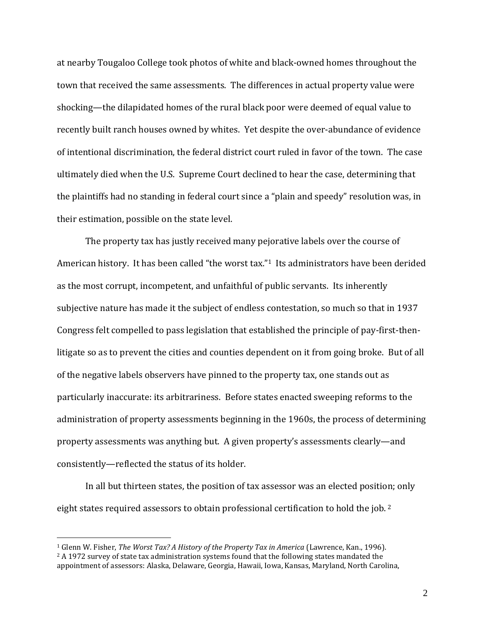at nearby Tougaloo College took photos of white and black-owned homes throughout the town that received the same assessments. The differences in actual property value were shocking—the dilapidated homes of the rural black poor were deemed of equal value to recently built ranch houses owned by whites. Yet despite the over-abundance of evidence of intentional discrimination, the federal district court ruled in favor of the town. The case ultimately died when the U.S. Supreme Court declined to hear the case, determining that the plaintiffs had no standing in federal court since a "plain and speedy" resolution was, in their estimation, possible on the state level.

The property tax has justly received many pejorative labels over the course of American history. It has been called "the worst tax."1 Its administrators have been derided as the most corrupt, incompetent, and unfaithful of public servants. Its inherently subjective nature has made it the subject of endless contestation, so much so that in 1937 Congress felt compelled to pass legislation that established the principle of pay-first-thenlitigate so as to prevent the cities and counties dependent on it from going broke. But of all of the negative labels observers have pinned to the property tax, one stands out as particularly inaccurate: its arbitrariness. Before states enacted sweeping reforms to the administration of property assessments beginning in the 1960s, the process of determining property assessments was anything but. A given property's assessments clearly—and consistently—reflected the status of its holder.

In all but thirteen states, the position of tax assessor was an elected position; only eight states required assessors to obtain professional certification to hold the job.<sup>2</sup>

<sup>1</sup> Glenn W. Fisher, *The Worst Tax? A History of the Property Tax in America* (Lawrence, Kan., 1996).

<sup>&</sup>lt;sup>2</sup> A 1972 survey of state tax administration systems found that the following states mandated the appointment of assessors: Alaska, Delaware, Georgia, Hawaii, Iowa, Kansas, Maryland, North Carolina,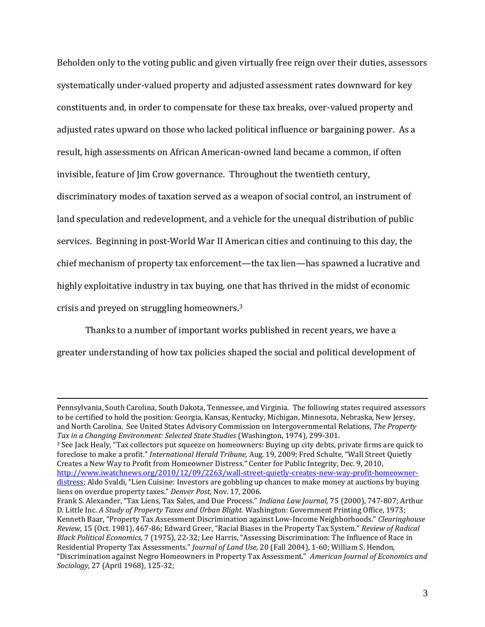Beholden only to the voting public and given virtually free reign over their duties, assessors systematically under-valued property and adjusted assessment rates downward for key constituents and, in order to compensate for these tax breaks, over-valued property and adjusted rates upward on those who lacked political influence or bargaining power. As a result, high assessments on African American-owned land became a common, if often invisible, feature of Jim Crow governance. Throughout the twentieth century, discriminatory modes of taxation served as a weapon of social control, an instrument of land speculation and redevelopment, and a vehicle for the unequal distribution of public services. Beginning in post-World War II American cities and continuing to this day, the chief mechanism of property tax enforcement—the tax lien—has spawned a lucrative and highly exploitative industry in tax buying, one that has thrived in the midst of economic crisis and preyed on struggling homeowners.<sup>3</sup>

Thanks to a number of important works published in recent years, we have a greater understanding of how tax policies shaped the social and political development of

Pennsylvania, South Carolina, South Dakota, Tennessee, and Virginia. The following states required assessors to be certified to hold the position: Georgia, Kansas, Kentucky, Michigan, Minnesota, Nebraska, New Jersey, and North Carolina. See United States Advisory Commission on Intergovernmental Relations, *The Property Tax in a Changing Environment: Selected State Studies* (Washington, 1974), 299-301.

<sup>3</sup> See Jack Healy, "Tax collectors put squeeze on homeowners: Buying up city debts, private firms are quick to foreclose to make a profit." *International Herald Tribune,* Aug. 19, 2009; Fred Schulte, "Wall Street Quietly Creates a New Way to Profit from Homeowner Distress." Center for Public Integrity, Dec. 9, 2010, [http://www.iwatchnews.org/2010/12/09/2263/wall-street-quietly-creates-new-way-profit-homeowner](http://www.iwatchnews.org/2010/12/09/2263/wall-street-quietly-creates-new-way-profit-homeowner-distress)[distress](http://www.iwatchnews.org/2010/12/09/2263/wall-street-quietly-creates-new-way-profit-homeowner-distress); Aldo Svaldi, "Lien Cuisine: Investors are gobbling up chances to make money at auctions by buying liens on overdue property taxes." *Denver Post,* Nov. 17, 2006.

Frank S. Alexander, "Tax Liens, Tax Sales, and Due Process." *Indiana Law Journal,* 75 (2000), 747-807; Arthur D. Little Inc. *A Study of Property Taxes and Urban Blight.* Washington: Government Printing Office, 1973; Kenneth Baar, "Property Tax Assessment Discrimination against Low-Income Neighborhoods." *Clearinghouse Review,* 15 (Oct. 1981), 467-86; Edward Greer, "Racial Biases in the Property Tax System." *Review of Radical Black Political Economics,* 7 (1975), 22-32; Lee Harris, "Assessing Discrimination: The Influence of Race in Residential Property Tax Assessments." *Journal of Land Use,* 20 (Fall 2004), 1-60; William S. Hendon, "Discrimination against Negro Homeowners in Property Tax Assessment." *American Journal of Economics and Sociology,* 27 (April 1968), 125-32;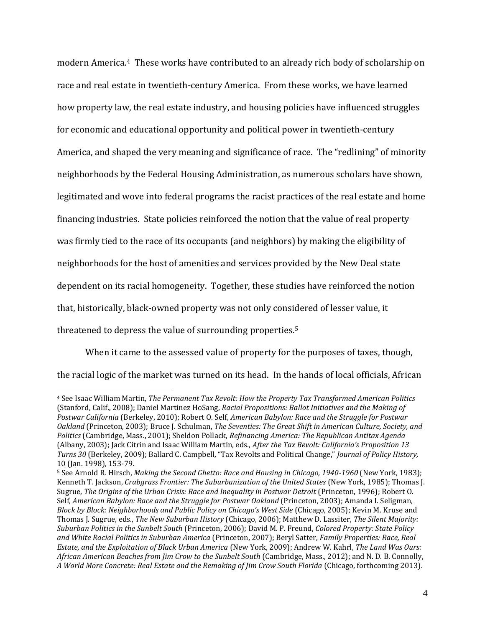modern America.<sup>4</sup> These works have contributed to an already rich body of scholarship on race and real estate in twentieth-century America. From these works, we have learned how property law, the real estate industry, and housing policies have influenced struggles for economic and educational opportunity and political power in twentieth-century America, and shaped the very meaning and significance of race. The "redlining" of minority neighborhoods by the Federal Housing Administration, as numerous scholars have shown, legitimated and wove into federal programs the racist practices of the real estate and home financing industries. State policies reinforced the notion that the value of real property was firmly tied to the race of its occupants (and neighbors) by making the eligibility of neighborhoods for the host of amenities and services provided by the New Deal state dependent on its racial homogeneity. Together, these studies have reinforced the notion that, historically, black-owned property was not only considered of lesser value, it threatened to depress the value of surrounding properties.<sup>5</sup>

When it came to the assessed value of property for the purposes of taxes, though, the racial logic of the market was turned on its head. In the hands of local officials, African

<sup>4</sup> See Isaac William Martin, *The Permanent Tax Revolt: How the Property Tax Transformed American Politics*  (Stanford, Calif., 2008); Daniel Martinez HoSang, *Racial Propositions: Ballot Initiatives and the Making of Postwar California* (Berkeley, 2010); Robert O. Self, *American Babylon: Race and the Struggle for Postwar Oakland* (Princeton, 2003); Bruce J. Schulman, *The Seventies: The Great Shift in American Culture, Society, and Politics* (Cambridge, Mass., 2001); Sheldon Pollack, *Refinancing America: The Republican Antitax Agenda*  (Albany, 2003); Jack Citrin and Isaac William Martin, eds., *After the Tax Revolt: California's Proposition 13 Turns 30* (Berkeley, 2009); Ballard C. Campbell, "Tax Revolts and Political Change," *Journal of Policy History,*  10 (Jan. 1998), 153-79.

<sup>5</sup> See Arnold R. Hirsch, *Making the Second Ghetto: Race and Housing in Chicago, 1940-1960* (New York, 1983); Kenneth T. Jackson, *Crabgrass Frontier: The Suburbanization of the United States* (New York, 1985); Thomas J. Sugrue, *The Origins of the Urban Crisis: Race and Inequality in Postwar Detroit* (Princeton, 1996); Robert O. Self, *American Babylon: Race and the Struggle for Postwar Oakland* (Princeton, 2003); Amanda I. Seligman, *Block by Block: Neighborhoods and Public Policy on Chicago's West Side* (Chicago, 2005); Kevin M. Kruse and Thomas J. Sugrue, eds., *The New Suburban History* (Chicago, 2006); Matthew D. Lassiter, *The Silent Majority: Suburban Politics in the Sunbelt South* (Princeton, 2006); David M. P. Freund, *Colored Property: State Policy and White Racial Politics in Suburban America* (Princeton, 2007); Beryl Satter, *Family Properties: Race, Real Estate, and the Exploitation of Black Urban America* (New York, 2009); Andrew W. Kahrl, *The Land Was Ours: African American Beaches from Jim Crow to the Sunbelt South* (Cambridge, Mass., 2012); and N. D. B. Connolly, *A World More Concrete: Real Estate and the Remaking of Jim Crow South Florida* (Chicago, forthcoming 2013).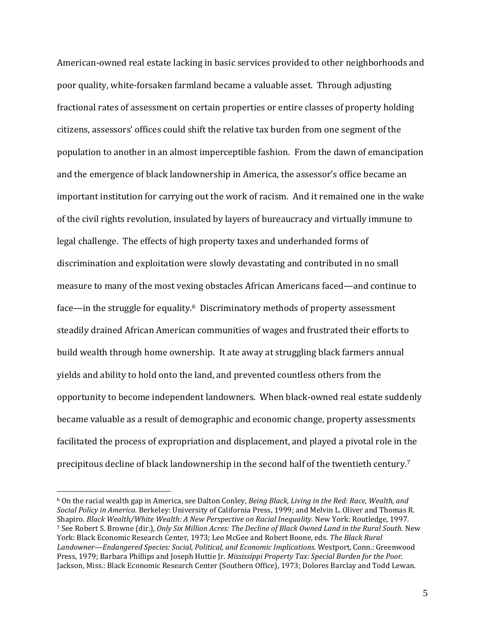American-owned real estate lacking in basic services provided to other neighborhoods and poor quality, white-forsaken farmland became a valuable asset. Through adjusting fractional rates of assessment on certain properties or entire classes of property holding citizens, assessors' offices could shift the relative tax burden from one segment of the population to another in an almost imperceptible fashion. From the dawn of emancipation and the emergence of black landownership in America, the assessor's office became an important institution for carrying out the work of racism. And it remained one in the wake of the civil rights revolution, insulated by layers of bureaucracy and virtually immune to legal challenge. The effects of high property taxes and underhanded forms of discrimination and exploitation were slowly devastating and contributed in no small measure to many of the most vexing obstacles African Americans faced—and continue to face—in the struggle for equality. <sup>6</sup> Discriminatory methods of property assessment steadily drained African American communities of wages and frustrated their efforts to build wealth through home ownership. It ate away at struggling black farmers annual yields and ability to hold onto the land, and prevented countless others from the opportunity to become independent landowners. When black-owned real estate suddenly became valuable as a result of demographic and economic change, property assessments facilitated the process of expropriation and displacement, and played a pivotal role in the precipitous decline of black landownership in the second half of the twentieth century.<sup>7</sup>

<sup>6</sup> On the racial wealth gap in America, see Dalton Conley, *Being Black, Living in the Red: Race, Wealth, and Social Policy in America.* Berkeley: University of California Press, 1999; and Melvin L. Oliver and Thomas R. Shapiro. *Black Wealth/White Wealth: A New Perspective on Racial Inequality.* New York: Routledge, 1997. <sup>7</sup> See Robert S. Browne (dir.), *Only Six Million Acres: The Decline of Black Owned Land in the Rural South.* New York: Black Economic Research Center, 1973; Leo McGee and Robert Boone, eds. *The Black Rural Landowner—Endangered Species: Social, Political, and Economic Implications.* Westport, Conn.: Greenwood Press, 1979; Barbara Phillips and Joseph Huttie Jr. *Mississippi Property Tax: Special Burden for the Poor.*  Jackson, Miss.: Black Economic Research Center (Southern Office), 1973; Dolores Barclay and Todd Lewan.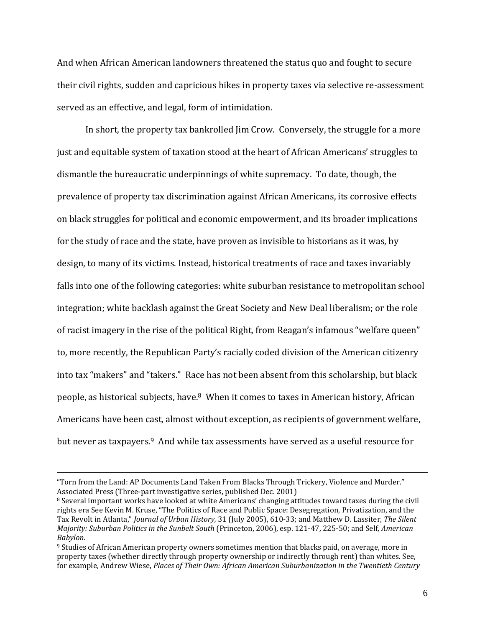And when African American landowners threatened the status quo and fought to secure their civil rights, sudden and capricious hikes in property taxes via selective re-assessment served as an effective, and legal, form of intimidation.

In short, the property tax bankrolled Jim Crow. Conversely, the struggle for a more just and equitable system of taxation stood at the heart of African Americans' struggles to dismantle the bureaucratic underpinnings of white supremacy. To date, though, the prevalence of property tax discrimination against African Americans, its corrosive effects on black struggles for political and economic empowerment, and its broader implications for the study of race and the state, have proven as invisible to historians as it was, by design, to many of its victims. Instead, historical treatments of race and taxes invariably falls into one of the following categories: white suburban resistance to metropolitan school integration; white backlash against the Great Society and New Deal liberalism; or the role of racist imagery in the rise of the political Right, from Reagan's infamous "welfare queen" to, more recently, the Republican Party's racially coded division of the American citizenry into tax "makers" and "takers." Race has not been absent from this scholarship, but black people, as historical subjects, have.8 When it comes to taxes in American history, African Americans have been cast, almost without exception, as recipients of government welfare, but never as taxpayers.<sup>9</sup> And while tax assessments have served as a useful resource for

<sup>&</sup>quot;Torn from the Land: AP Documents Land Taken From Blacks Through Trickery, Violence and Murder." Associated Press (Three-part investigative series, published Dec. 2001)

<sup>8</sup> Several important works have looked at white Americans' changing attitudes toward taxes during the civil rights era See Kevin M. Kruse, "The Politics of Race and Public Space: Desegregation, Privatization, and the Tax Revolt in Atlanta," *Journal of Urban History,* 31 (July 2005), 610-33; and Matthew D. Lassiter, *The Silent Majority: Suburban Politics in the Sunbelt South* (Princeton, 2006), esp. 121-47, 225-50; and Self, *American Babylon.*

<sup>9</sup> Studies of African American property owners sometimes mention that blacks paid, on average, more in property taxes (whether directly through property ownership or indirectly through rent) than whites. See, for example, Andrew Wiese, *Places of Their Own: African American Suburbanization in the Twentieth Century*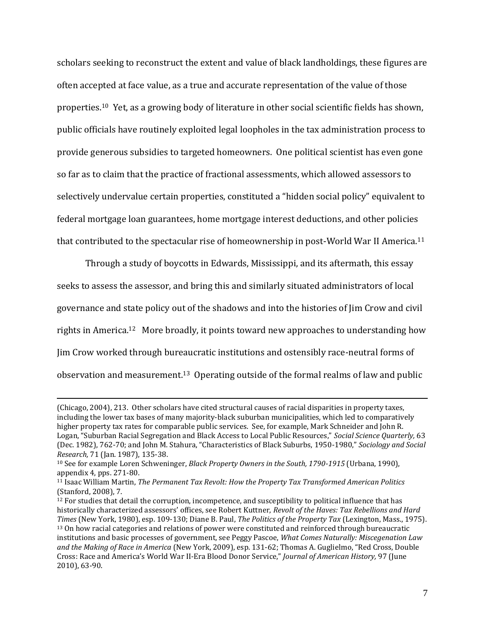scholars seeking to reconstruct the extent and value of black landholdings, these figures are often accepted at face value, as a true and accurate representation of the value of those properties.10 Yet, as a growing body of literature in other social scientific fields has shown, public officials have routinely exploited legal loopholes in the tax administration process to provide generous subsidies to targeted homeowners. One political scientist has even gone so far as to claim that the practice of fractional assessments, which allowed assessors to selectively undervalue certain properties, constituted a "hidden social policy" equivalent to federal mortgage loan guarantees, home mortgage interest deductions, and other policies that contributed to the spectacular rise of homeownership in post-World War II America.<sup>11</sup>

Through a study of boycotts in Edwards, Mississippi, and its aftermath, this essay seeks to assess the assessor, and bring this and similarly situated administrators of local governance and state policy out of the shadows and into the histories of Jim Crow and civil rights in America.<sup>12</sup> More broadly, it points toward new approaches to understanding how Jim Crow worked through bureaucratic institutions and ostensibly race-neutral forms of observation and measurement.13 Operating outside of the formal realms of law and public

<sup>(</sup>Chicago, 2004), 213. Other scholars have cited structural causes of racial disparities in property taxes, including the lower tax bases of many majority-black suburban municipalities, which led to comparatively higher property tax rates for comparable public services. See, for example, Mark Schneider and John R. Logan, "Suburban Racial Segregation and Black Access to Local Public Resources," *Social Science Quarterly,* 63 (Dec. 1982), 762-70; and John M. Stahura, "Characteristics of Black Suburbs, 1950-1980," *Sociology and Social Research,* 71 (Jan. 1987), 135-38.

<sup>10</sup> See for example Loren Schweninger, *Black Property Owners in the South, 1790-1915* (Urbana, 1990), appendix 4, pps. 271-80.

<sup>11</sup> Isaac William Martin, *The Permanent Tax Revolt: How the Property Tax Transformed American Politics*  (Stanford, 2008), 7.

<sup>12</sup> For studies that detail the corruption, incompetence, and susceptibility to political influence that has historically characterized assessors' offices, see Robert Kuttner, *Revolt of the Haves: Tax Rebellions and Hard Times* (New York, 1980), esp. 109-130; Diane B. Paul, *The Politics of the Property Tax* (Lexington, Mass., 1975). <sup>13</sup> On how racial categories and relations of power were constituted and reinforced through bureaucratic institutions and basic processes of government, see Peggy Pascoe, *What Comes Naturally: Miscegenation Law and the Making of Race in America* (New York, 2009), esp. 131-62; Thomas A. Guglielmo, "Red Cross, Double Cross: Race and America's World War II-Era Blood Donor Service," *Journal of American History,* 97 (June 2010), 63-90.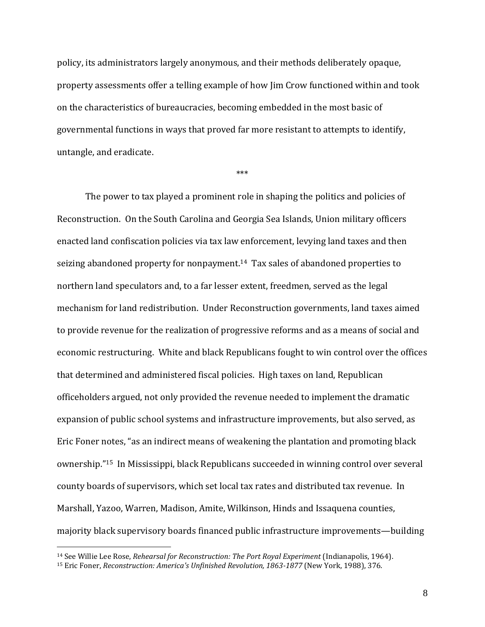policy, its administrators largely anonymous, and their methods deliberately opaque, property assessments offer a telling example of how Jim Crow functioned within and took on the characteristics of bureaucracies, becoming embedded in the most basic of governmental functions in ways that proved far more resistant to attempts to identify, untangle, and eradicate.

\*\*\*

The power to tax played a prominent role in shaping the politics and policies of Reconstruction. On the South Carolina and Georgia Sea Islands, Union military officers enacted land confiscation policies via tax law enforcement, levying land taxes and then seizing abandoned property for nonpayment.14 Tax sales of abandoned properties to northern land speculators and, to a far lesser extent, freedmen, served as the legal mechanism for land redistribution. Under Reconstruction governments, land taxes aimed to provide revenue for the realization of progressive reforms and as a means of social and economic restructuring. White and black Republicans fought to win control over the offices that determined and administered fiscal policies. High taxes on land, Republican officeholders argued, not only provided the revenue needed to implement the dramatic expansion of public school systems and infrastructure improvements, but also served, as Eric Foner notes, "as an indirect means of weakening the plantation and promoting black ownership."15 In Mississippi, black Republicans succeeded in winning control over several county boards of supervisors, which set local tax rates and distributed tax revenue. In Marshall, Yazoo, Warren, Madison, Amite, Wilkinson, Hinds and Issaquena counties, majority black supervisory boards financed public infrastructure improvements—building

<sup>&</sup>lt;sup>14</sup> See Willie Lee Rose, *Rehearsal for Reconstruction: The Port Royal Experiment* (Indianapolis, 1964).

<sup>15</sup> Eric Foner, *Reconstruction: America's Unfinished Revolution, 1863-1877* (New York, 1988), 376.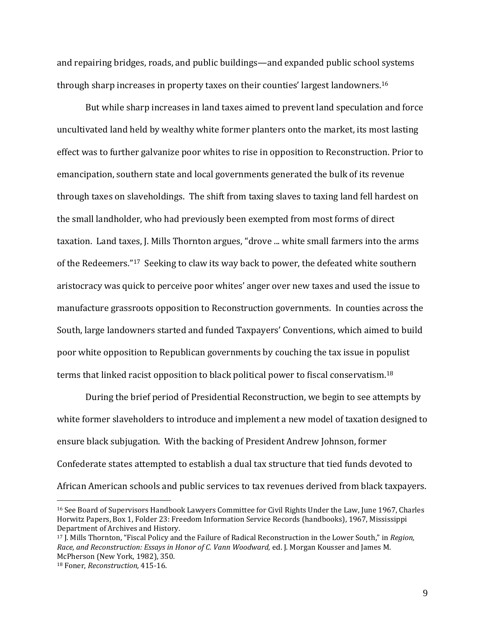and repairing bridges, roads, and public buildings—and expanded public school systems through sharp increases in property taxes on their counties' largest landowners.<sup>16</sup>

But while sharp increases in land taxes aimed to prevent land speculation and force uncultivated land held by wealthy white former planters onto the market, its most lasting effect was to further galvanize poor whites to rise in opposition to Reconstruction. Prior to emancipation, southern state and local governments generated the bulk of its revenue through taxes on slaveholdings. The shift from taxing slaves to taxing land fell hardest on the small landholder, who had previously been exempted from most forms of direct taxation. Land taxes, J. Mills Thornton argues, "drove ... white small farmers into the arms of the Redeemers."<sup>17</sup> Seeking to claw its way back to power, the defeated white southern aristocracy was quick to perceive poor whites' anger over new taxes and used the issue to manufacture grassroots opposition to Reconstruction governments. In counties across the South, large landowners started and funded Taxpayers' Conventions, which aimed to build poor white opposition to Republican governments by couching the tax issue in populist terms that linked racist opposition to black political power to fiscal conservatism.<sup>18</sup>

During the brief period of Presidential Reconstruction, we begin to see attempts by white former slaveholders to introduce and implement a new model of taxation designed to ensure black subjugation. With the backing of President Andrew Johnson, former Confederate states attempted to establish a dual tax structure that tied funds devoted to African American schools and public services to tax revenues derived from black taxpayers.

<sup>16</sup> See Board of Supervisors Handbook Lawyers Committee for Civil Rights Under the Law, June 1967, Charles Horwitz Papers, Box 1, Folder 23: Freedom Information Service Records (handbooks), 1967, Mississippi Department of Archives and History.

<sup>17</sup> J. Mills Thornton, "Fiscal Policy and the Failure of Radical Reconstruction in the Lower South," in *Region, Race, and Reconstruction: Essays in Honor of C. Vann Woodward,* ed. J. Morgan Kousser and James M. McPherson (New York, 1982), 350.

<sup>18</sup> Foner, *Reconstruction,* 415-16.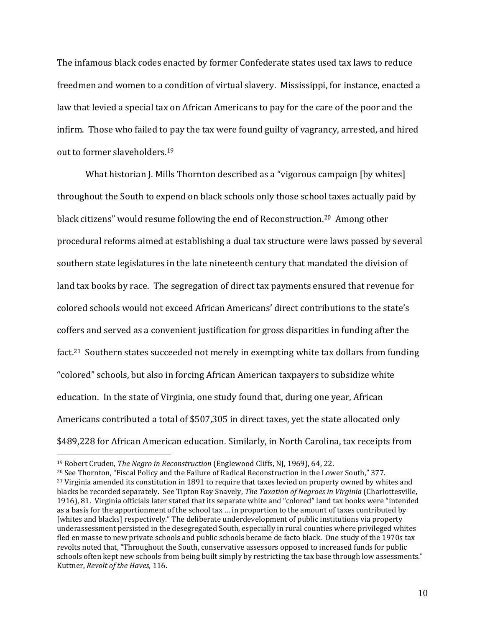The infamous black codes enacted by former Confederate states used tax laws to reduce freedmen and women to a condition of virtual slavery. Mississippi, for instance, enacted a law that levied a special tax on African Americans to pay for the care of the poor and the infirm. Those who failed to pay the tax were found guilty of vagrancy, arrested, and hired out to former slaveholders.<sup>19</sup>

What historian J. Mills Thornton described as a "vigorous campaign [by whites] throughout the South to expend on black schools only those school taxes actually paid by black citizens" would resume following the end of Reconstruction.20 Among other procedural reforms aimed at establishing a dual tax structure were laws passed by several southern state legislatures in the late nineteenth century that mandated the division of land tax books by race. The segregation of direct tax payments ensured that revenue for colored schools would not exceed African Americans' direct contributions to the state's coffers and served as a convenient justification for gross disparities in funding after the fact.<sup>21</sup> Southern states succeeded not merely in exempting white tax dollars from funding "colored" schools, but also in forcing African American taxpayers to subsidize white education. In the state of Virginia, one study found that, during one year, African Americans contributed a total of \$507,305 in direct taxes, yet the state allocated only \$489,228 for African American education. Similarly, in North Carolina, tax receipts from

<sup>19</sup> Robert Cruden, *The Negro in Reconstruction* (Englewood Cliffs, NJ, 1969), 64, 22.

<sup>20</sup> See Thornton, "Fiscal Policy and the Failure of Radical Reconstruction in the Lower South," 377.

<sup>&</sup>lt;sup>21</sup> Virginia amended its constitution in 1891 to require that taxes levied on property owned by whites and blacks be recorded separately. See Tipton Ray Snavely, *The Taxation of Negroes in Virginia* (Charlottesville, 1916), 81. Virginia officials later stated that its separate white and "colored" land tax books were "intended as a basis for the apportionment of the school tax … in proportion to the amount of taxes contributed by [whites and blacks] respectively." The deliberate underdevelopment of public institutions via property underassessment persisted in the desegregated South, especially in rural counties where privileged whites fled en masse to new private schools and public schools became de facto black. One study of the 1970s tax revolts noted that, "Throughout the South, conservative assessors opposed to increased funds for public schools often kept new schools from being built simply by restricting the tax base through low assessments." Kuttner, *Revolt of the Haves,* 116.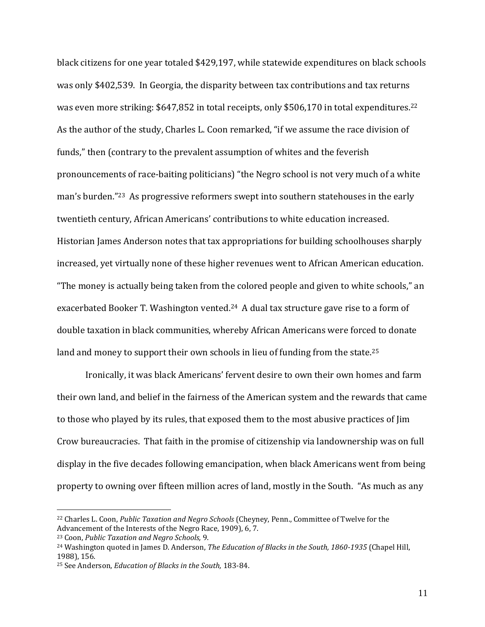black citizens for one year totaled \$429,197, while statewide expenditures on black schools was only \$402,539. In Georgia, the disparity between tax contributions and tax returns was even more striking: \$647,852 in total receipts, only \$506,170 in total expenditures.<sup>22</sup> As the author of the study, Charles L. Coon remarked, "if we assume the race division of funds," then (contrary to the prevalent assumption of whites and the feverish pronouncements of race-baiting politicians) "the Negro school is not very much of a white man's burden."23 As progressive reformers swept into southern statehouses in the early twentieth century, African Americans' contributions to white education increased. Historian James Anderson notes that tax appropriations for building schoolhouses sharply increased, yet virtually none of these higher revenues went to African American education. "The money is actually being taken from the colored people and given to white schools," an exacerbated Booker T. Washington vented.<sup>24</sup> A dual tax structure gave rise to a form of double taxation in black communities, whereby African Americans were forced to donate land and money to support their own schools in lieu of funding from the state.<sup>25</sup>

Ironically, it was black Americans' fervent desire to own their own homes and farm their own land, and belief in the fairness of the American system and the rewards that came to those who played by its rules, that exposed them to the most abusive practices of Jim Crow bureaucracies. That faith in the promise of citizenship via landownership was on full display in the five decades following emancipation, when black Americans went from being property to owning over fifteen million acres of land, mostly in the South. "As much as any

<sup>22</sup> Charles L. Coon, *Public Taxation and Negro Schools* (Cheyney, Penn., Committee of Twelve for the Advancement of the Interests of the Negro Race, 1909), 6, 7.

<sup>23</sup> Coon, *Public Taxation and Negro Schools,* 9.

<sup>24</sup> Washington quoted in James D. Anderson, *The Education of Blacks in the South, 1860-1935* (Chapel Hill, 1988), 156.

<sup>25</sup> See Anderson, *Education of Blacks in the South,* 183-84.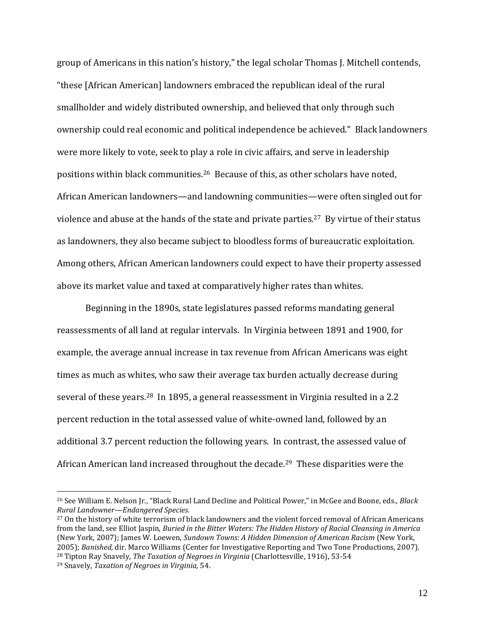group of Americans in this nation's history," the legal scholar Thomas J. Mitchell contends, "these [African American] landowners embraced the republican ideal of the rural smallholder and widely distributed ownership, and believed that only through such ownership could real economic and political independence be achieved." Black landowners were more likely to vote, seek to play a role in civic affairs, and serve in leadership positions within black communities.26 Because of this, as other scholars have noted, African American landowners—and landowning communities—were often singled out for violence and abuse at the hands of the state and private parties.27 By virtue of their status as landowners, they also became subject to bloodless forms of bureaucratic exploitation. Among others, African American landowners could expect to have their property assessed above its market value and taxed at comparatively higher rates than whites.

Beginning in the 1890s, state legislatures passed reforms mandating general reassessments of all land at regular intervals. In Virginia between 1891 and 1900, for example, the average annual increase in tax revenue from African Americans was eight times as much as whites, who saw their average tax burden actually decrease during several of these years.28 In 1895, a general reassessment in Virginia resulted in a 2.2 percent reduction in the total assessed value of white-owned land, followed by an additional 3.7 percent reduction the following years. In contrast, the assessed value of African American land increased throughout the decade.29 These disparities were the

<sup>27</sup> On the history of white terrorism of black landowners and the violent forced removal of African Americans from the land, see Elliot Jaspin, *Buried in the Bitter Waters: The Hidden History of Racial Cleansing in America* (New York, 2007); James W. Loewen, *Sundown Towns: A Hidden Dimension of American Racism* (New York, 2005); *Banished,* dir. Marco Williams (Center for Investigative Reporting and Two Tone Productions, 2007). <sup>28</sup> Tipton Ray Snavely, *The Taxation of Negroes in Virginia* (Charlottesville, 1916), 53-54

<sup>26</sup> See William E. Nelson Jr., "Black Rural Land Decline and Political Power," in McGee and Boone, eds., *Black Rural Landowner—Endangered Species.*

<sup>29</sup> Snavely, *Taxation of Negroes in Virginia,* 54.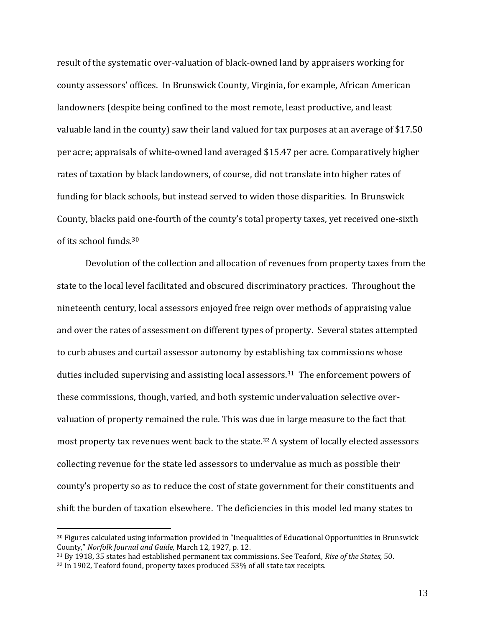result of the systematic over-valuation of black-owned land by appraisers working for county assessors' offices. In Brunswick County, Virginia, for example, African American landowners (despite being confined to the most remote, least productive, and least valuable land in the county) saw their land valued for tax purposes at an average of \$17.50 per acre; appraisals of white-owned land averaged \$15.47 per acre. Comparatively higher rates of taxation by black landowners, of course, did not translate into higher rates of funding for black schools, but instead served to widen those disparities. In Brunswick County, blacks paid one-fourth of the county's total property taxes, yet received one-sixth of its school funds.<sup>30</sup>

Devolution of the collection and allocation of revenues from property taxes from the state to the local level facilitated and obscured discriminatory practices. Throughout the nineteenth century, local assessors enjoyed free reign over methods of appraising value and over the rates of assessment on different types of property. Several states attempted to curb abuses and curtail assessor autonomy by establishing tax commissions whose duties included supervising and assisting local assessors.31 The enforcement powers of these commissions, though, varied, and both systemic undervaluation selective overvaluation of property remained the rule. This was due in large measure to the fact that most property tax revenues went back to the state.<sup>32</sup> A system of locally elected assessors collecting revenue for the state led assessors to undervalue as much as possible their county's property so as to reduce the cost of state government for their constituents and shift the burden of taxation elsewhere. The deficiencies in this model led many states to

<sup>30</sup> Figures calculated using information provided in "Inequalities of Educational Opportunities in Brunswick County," *Norfolk Journal and Guide,* March 12, 1927, p. 12.

<sup>31</sup> By 1918, 35 states had established permanent tax commissions. See Teaford, *Rise of the States,* 50. <sup>32</sup> In 1902, Teaford found, property taxes produced 53% of all state tax receipts.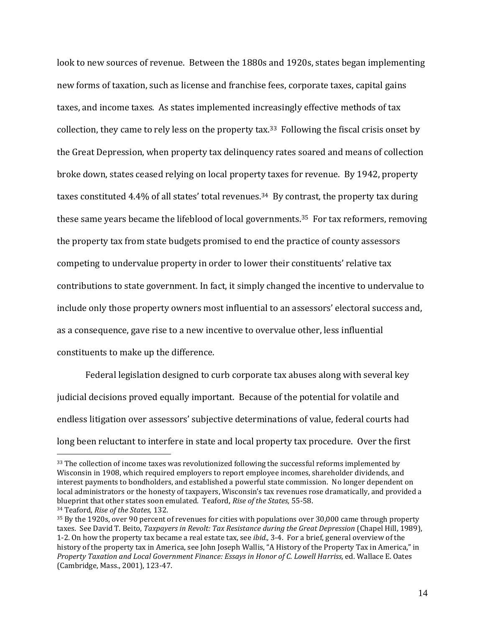look to new sources of revenue. Between the 1880s and 1920s, states began implementing new forms of taxation, such as license and franchise fees, corporate taxes, capital gains taxes, and income taxes. As states implemented increasingly effective methods of tax collection, they came to rely less on the property tax.<sup>33</sup> Following the fiscal crisis onset by the Great Depression, when property tax delinquency rates soared and means of collection broke down, states ceased relying on local property taxes for revenue. By 1942, property taxes constituted 4.4% of all states' total revenues.<sup>34</sup> By contrast, the property tax during these same years became the lifeblood of local governments.35 For tax reformers, removing the property tax from state budgets promised to end the practice of county assessors competing to undervalue property in order to lower their constituents' relative tax contributions to state government. In fact, it simply changed the incentive to undervalue to include only those property owners most influential to an assessors' electoral success and, as a consequence, gave rise to a new incentive to overvalue other, less influential constituents to make up the difference.

Federal legislation designed to curb corporate tax abuses along with several key judicial decisions proved equally important. Because of the potential for volatile and endless litigation over assessors' subjective determinations of value, federal courts had long been reluctant to interfere in state and local property tax procedure. Over the first

<sup>&</sup>lt;sup>33</sup> The collection of income taxes was revolutionized following the successful reforms implemented by Wisconsin in 1908, which required employers to report employee incomes, shareholder dividends, and interest payments to bondholders, and established a powerful state commission. No longer dependent on local administrators or the honesty of taxpayers, Wisconsin's tax revenues rose dramatically, and provided a blueprint that other states soon emulated. Teaford, *Rise of the States,* 55-58. <sup>34</sup> Teaford, *Rise of the States,* 132.

<sup>35</sup> By the 1920s, over 90 percent of revenues for cities with populations over 30,000 came through property taxes. See David T. Beito, *Taxpayers in Revolt: Tax Resistance during the Great Depression* (Chapel Hill, 1989), 1-2. On how the property tax became a real estate tax, see *ibid.,* 3-4. For a brief, general overview of the history of the property tax in America, see John Joseph Wallis, "A History of the Property Tax in America," in *Property Taxation and Local Government Finance: Essays in Honor of C. Lowell Harriss,* ed. Wallace E. Oates (Cambridge, Mass., 2001), 123-47.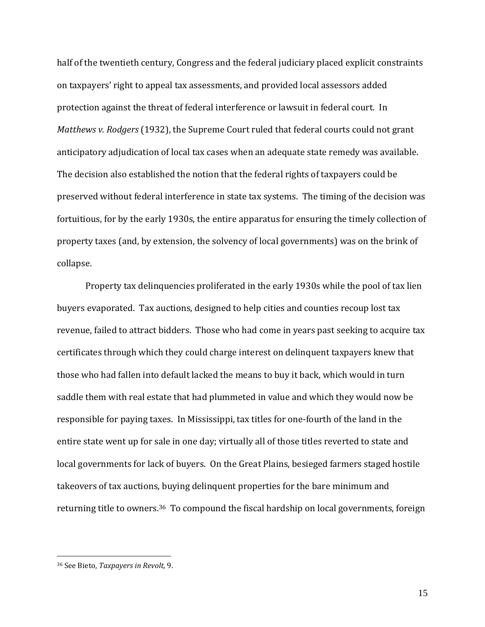half of the twentieth century, Congress and the federal judiciary placed explicit constraints on taxpayers' right to appeal tax assessments, and provided local assessors added protection against the threat of federal interference or lawsuit in federal court. In *Matthews v. Rodgers* (1932), the Supreme Court ruled that federal courts could not grant anticipatory adjudication of local tax cases when an adequate state remedy was available. The decision also established the notion that the federal rights of taxpayers could be preserved without federal interference in state tax systems. The timing of the decision was fortuitious, for by the early 1930s, the entire apparatus for ensuring the timely collection of property taxes (and, by extension, the solvency of local governments) was on the brink of collapse.

Property tax delinquencies proliferated in the early 1930s while the pool of tax lien buyers evaporated. Tax auctions, designed to help cities and counties recoup lost tax revenue, failed to attract bidders. Those who had come in years past seeking to acquire tax certificates through which they could charge interest on delinquent taxpayers knew that those who had fallen into default lacked the means to buy it back, which would in turn saddle them with real estate that had plummeted in value and which they would now be responsible for paying taxes. In Mississippi, tax titles for one-fourth of the land in the entire state went up for sale in one day; virtually all of those titles reverted to state and local governments for lack of buyers. On the Great Plains, besieged farmers staged hostile takeovers of tax auctions, buying delinquent properties for the bare minimum and returning title to owners.36 To compound the fiscal hardship on local governments, foreign

<sup>36</sup> See Bieto, *Taxpayers in Revolt,* 9.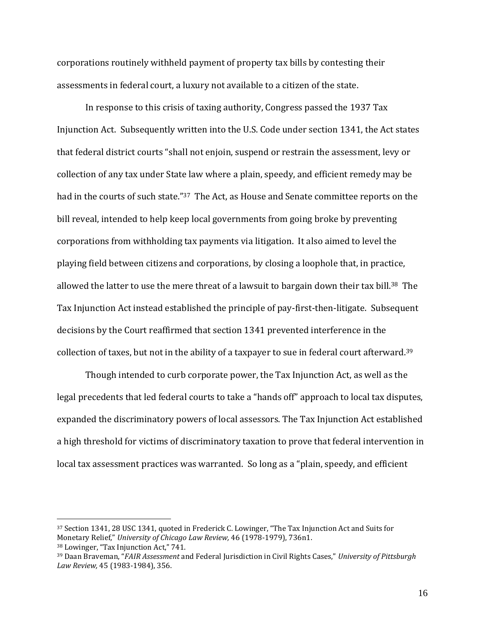corporations routinely withheld payment of property tax bills by contesting their assessments in federal court, a luxury not available to a citizen of the state.

In response to this crisis of taxing authority, Congress passed the 1937 Tax Injunction Act. Subsequently written into the U.S. Code under section 1341, the Act states that federal district courts "shall not enjoin, suspend or restrain the assessment, levy or collection of any tax under State law where a plain, speedy, and efficient remedy may be had in the courts of such state."37 The Act, as House and Senate committee reports on the bill reveal, intended to help keep local governments from going broke by preventing corporations from withholding tax payments via litigation. It also aimed to level the playing field between citizens and corporations, by closing a loophole that, in practice, allowed the latter to use the mere threat of a lawsuit to bargain down their tax bill.<sup>38</sup> The Tax Injunction Act instead established the principle of pay-first-then-litigate. Subsequent decisions by the Court reaffirmed that section 1341 prevented interference in the collection of taxes, but not in the ability of a taxpayer to sue in federal court afterward.<sup>39</sup>

Though intended to curb corporate power, the Tax Injunction Act, as well as the legal precedents that led federal courts to take a "hands off" approach to local tax disputes, expanded the discriminatory powers of local assessors. The Tax Injunction Act established a high threshold for victims of discriminatory taxation to prove that federal intervention in local tax assessment practices was warranted. So long as a "plain, speedy, and efficient

<sup>37</sup> Section 1341, 28 USC 1341, quoted in Frederick C. Lowinger, "The Tax Injunction Act and Suits for Monetary Relief," *University of Chicago Law Review,* 46 (1978-1979), 736n1. <sup>38</sup> Lowinger, "Tax Injunction Act," 741.

<sup>39</sup> Daan Braveman, "*FAIR Assessment* and Federal Jurisdiction in Civil Rights Cases," *University of Pittsburgh Law Review,* 45 (1983-1984), 356.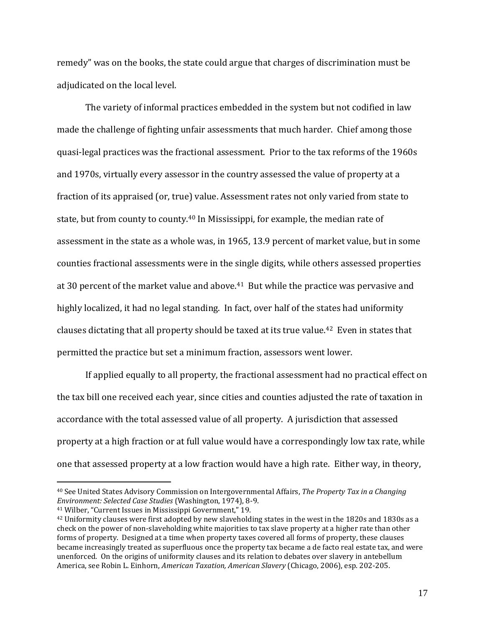remedy" was on the books, the state could argue that charges of discrimination must be adjudicated on the local level.

The variety of informal practices embedded in the system but not codified in law made the challenge of fighting unfair assessments that much harder. Chief among those quasi-legal practices was the fractional assessment. Prior to the tax reforms of the 1960s and 1970s, virtually every assessor in the country assessed the value of property at a fraction of its appraised (or, true) value. Assessment rates not only varied from state to state, but from county to county.<sup>40</sup> In Mississippi, for example, the median rate of assessment in the state as a whole was, in 1965, 13.9 percent of market value, but in some counties fractional assessments were in the single digits, while others assessed properties at 30 percent of the market value and above.<sup>41</sup> But while the practice was pervasive and highly localized, it had no legal standing. In fact, over half of the states had uniformity clauses dictating that all property should be taxed at its true value.42 Even in states that permitted the practice but set a minimum fraction, assessors went lower.

If applied equally to all property, the fractional assessment had no practical effect on the tax bill one received each year, since cities and counties adjusted the rate of taxation in accordance with the total assessed value of all property. A jurisdiction that assessed property at a high fraction or at full value would have a correspondingly low tax rate, while one that assessed property at a low fraction would have a high rate. Either way, in theory,

<sup>40</sup> See United States Advisory Commission on Intergovernmental Affairs, *The Property Tax in a Changing Environment: Selected Case Studies* (Washington, 1974), 8-9.

<sup>41</sup> Wilber, "Current Issues in Mississippi Government," 19.

<sup>&</sup>lt;sup>42</sup> Uniformity clauses were first adopted by new slaveholding states in the west in the 1820s and 1830s as a check on the power of non-slaveholding white majorities to tax slave property at a higher rate than other forms of property. Designed at a time when property taxes covered all forms of property, these clauses became increasingly treated as superfluous once the property tax became a de facto real estate tax, and were unenforced. On the origins of uniformity clauses and its relation to debates over slavery in antebellum America, see Robin L. Einhorn, *American Taxation, American Slavery* (Chicago, 2006), esp. 202-205.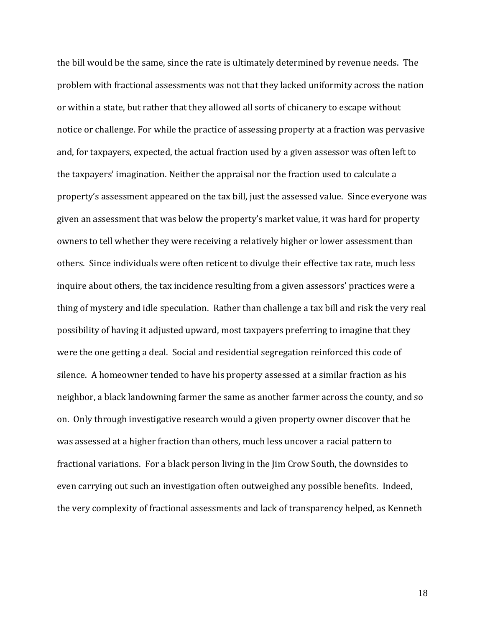the bill would be the same, since the rate is ultimately determined by revenue needs. The problem with fractional assessments was not that they lacked uniformity across the nation or within a state, but rather that they allowed all sorts of chicanery to escape without notice or challenge. For while the practice of assessing property at a fraction was pervasive and, for taxpayers, expected, the actual fraction used by a given assessor was often left to the taxpayers' imagination. Neither the appraisal nor the fraction used to calculate a property's assessment appeared on the tax bill, just the assessed value. Since everyone was given an assessment that was below the property's market value, it was hard for property owners to tell whether they were receiving a relatively higher or lower assessment than others. Since individuals were often reticent to divulge their effective tax rate, much less inquire about others, the tax incidence resulting from a given assessors' practices were a thing of mystery and idle speculation. Rather than challenge a tax bill and risk the very real possibility of having it adjusted upward, most taxpayers preferring to imagine that they were the one getting a deal. Social and residential segregation reinforced this code of silence. A homeowner tended to have his property assessed at a similar fraction as his neighbor, a black landowning farmer the same as another farmer across the county, and so on. Only through investigative research would a given property owner discover that he was assessed at a higher fraction than others, much less uncover a racial pattern to fractional variations. For a black person living in the Jim Crow South, the downsides to even carrying out such an investigation often outweighed any possible benefits. Indeed, the very complexity of fractional assessments and lack of transparency helped, as Kenneth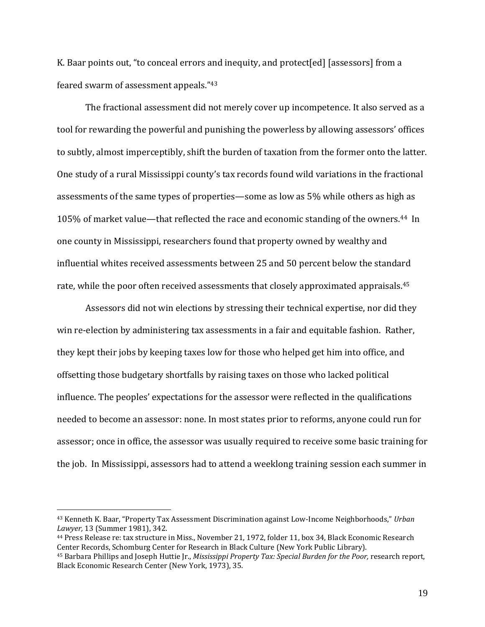K. Baar points out, "to conceal errors and inequity, and protect[ed] [assessors] from a feared swarm of assessment appeals."<sup>43</sup>

The fractional assessment did not merely cover up incompetence. It also served as a tool for rewarding the powerful and punishing the powerless by allowing assessors' offices to subtly, almost imperceptibly, shift the burden of taxation from the former onto the latter. One study of a rural Mississippi county's tax records found wild variations in the fractional assessments of the same types of properties—some as low as 5% while others as high as 105% of market value—that reflected the race and economic standing of the owners.44 In one county in Mississippi, researchers found that property owned by wealthy and influential whites received assessments between 25 and 50 percent below the standard rate, while the poor often received assessments that closely approximated appraisals.<sup>45</sup>

Assessors did not win elections by stressing their technical expertise, nor did they win re-election by administering tax assessments in a fair and equitable fashion. Rather, they kept their jobs by keeping taxes low for those who helped get him into office, and offsetting those budgetary shortfalls by raising taxes on those who lacked political influence. The peoples' expectations for the assessor were reflected in the qualifications needed to become an assessor: none. In most states prior to reforms, anyone could run for assessor; once in office, the assessor was usually required to receive some basic training for the job. In Mississippi, assessors had to attend a weeklong training session each summer in

 $\overline{a}$ 

<sup>44</sup> Press Release re: tax structure in Miss., November 21, 1972, folder 11, box 34, Black Economic Research Center Records, Schomburg Center for Research in Black Culture (New York Public Library).

<sup>43</sup> Kenneth K. Baar, "Property Tax Assessment Discrimination against Low-Income Neighborhoods," *Urban Lawyer,* 13 (Summer 1981), 342.

<sup>45</sup> Barbara Phillips and Joseph Huttie Jr., *Mississippi Property Tax: Special Burden for the Poor,* research report, Black Economic Research Center (New York, 1973), 35.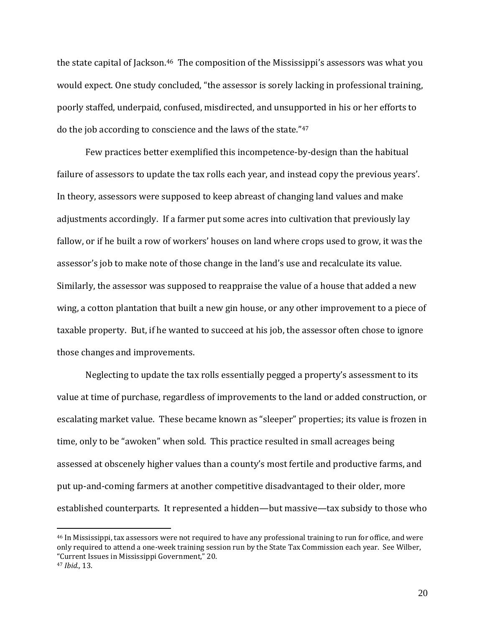the state capital of Jackson.<sup>46</sup> The composition of the Mississippi's assessors was what you would expect. One study concluded, "the assessor is sorely lacking in professional training, poorly staffed, underpaid, confused, misdirected, and unsupported in his or her efforts to do the job according to conscience and the laws of the state."<sup>47</sup>

Few practices better exemplified this incompetence-by-design than the habitual failure of assessors to update the tax rolls each year, and instead copy the previous years'. In theory, assessors were supposed to keep abreast of changing land values and make adjustments accordingly. If a farmer put some acres into cultivation that previously lay fallow, or if he built a row of workers' houses on land where crops used to grow, it was the assessor's job to make note of those change in the land's use and recalculate its value. Similarly, the assessor was supposed to reappraise the value of a house that added a new wing, a cotton plantation that built a new gin house, or any other improvement to a piece of taxable property. But, if he wanted to succeed at his job, the assessor often chose to ignore those changes and improvements.

Neglecting to update the tax rolls essentially pegged a property's assessment to its value at time of purchase, regardless of improvements to the land or added construction, or escalating market value. These became known as "sleeper" properties; its value is frozen in time, only to be "awoken" when sold. This practice resulted in small acreages being assessed at obscenely higher values than a county's most fertile and productive farms, and put up-and-coming farmers at another competitive disadvantaged to their older, more established counterparts. It represented a hidden—but massive—tax subsidy to those who

<sup>46</sup> In Mississippi, tax assessors were not required to have any professional training to run for office, and were only required to attend a one-week training session run by the State Tax Commission each year. See Wilber, "Current Issues in Mississippi Government," 20.

<sup>47</sup> *Ibid.,* 13.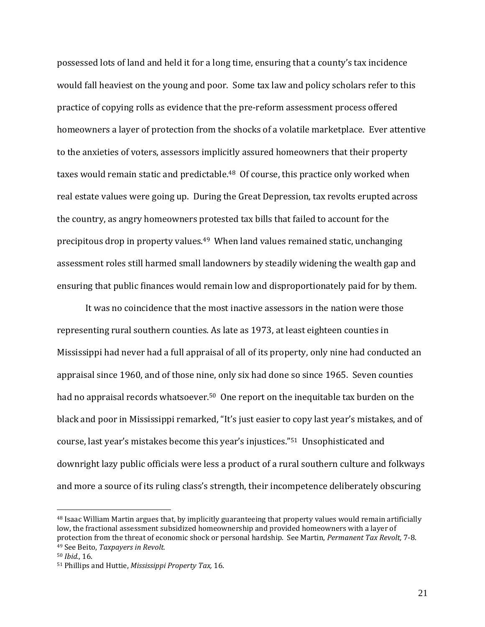possessed lots of land and held it for a long time, ensuring that a county's tax incidence would fall heaviest on the young and poor. Some tax law and policy scholars refer to this practice of copying rolls as evidence that the pre-reform assessment process offered homeowners a layer of protection from the shocks of a volatile marketplace. Ever attentive to the anxieties of voters, assessors implicitly assured homeowners that their property taxes would remain static and predictable.<sup>48</sup> Of course, this practice only worked when real estate values were going up. During the Great Depression, tax revolts erupted across the country, as angry homeowners protested tax bills that failed to account for the precipitous drop in property values.49 When land values remained static, unchanging assessment roles still harmed small landowners by steadily widening the wealth gap and ensuring that public finances would remain low and disproportionately paid for by them.

It was no coincidence that the most inactive assessors in the nation were those representing rural southern counties. As late as 1973, at least eighteen counties in Mississippi had never had a full appraisal of all of its property, only nine had conducted an appraisal since 1960, and of those nine, only six had done so since 1965. Seven counties had no appraisal records whatsoever.<sup>50</sup> One report on the inequitable tax burden on the black and poor in Mississippi remarked, "It's just easier to copy last year's mistakes, and of course, last year's mistakes become this year's injustices."51 Unsophisticated and downright lazy public officials were less a product of a rural southern culture and folkways and more a source of its ruling class's strength, their incompetence deliberately obscuring

<sup>&</sup>lt;sup>48</sup> Isaac William Martin argues that, by implicitly guaranteeing that property values would remain artificially low, the fractional assessment subsidized homeownership and provided homeowners with a layer of protection from the threat of economic shock or personal hardship. See Martin, *Permanent Tax Revolt,* 7-8. <sup>49</sup> See Beito, *Taxpayers in Revolt.*

<sup>50</sup> *Ibid.,* 16.

<sup>51</sup> Phillips and Huttie, *Mississippi Property Tax,* 16.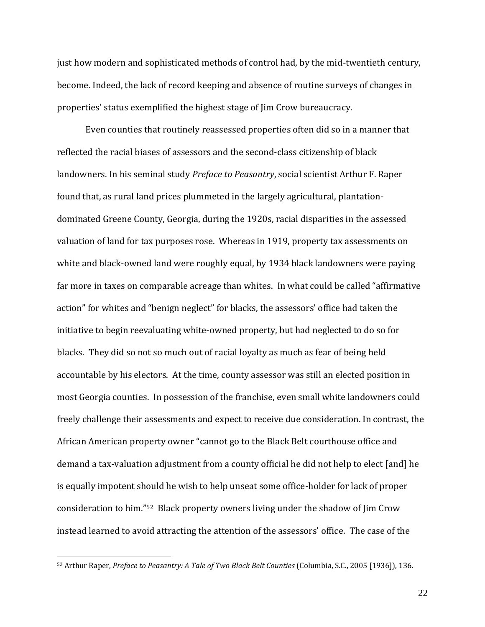just how modern and sophisticated methods of control had, by the mid-twentieth century, become. Indeed, the lack of record keeping and absence of routine surveys of changes in properties' status exemplified the highest stage of Jim Crow bureaucracy.

Even counties that routinely reassessed properties often did so in a manner that reflected the racial biases of assessors and the second-class citizenship of black landowners. In his seminal study *Preface to Peasantry*, social scientist Arthur F. Raper found that, as rural land prices plummeted in the largely agricultural, plantationdominated Greene County, Georgia, during the 1920s, racial disparities in the assessed valuation of land for tax purposes rose. Whereas in 1919, property tax assessments on white and black-owned land were roughly equal, by 1934 black landowners were paying far more in taxes on comparable acreage than whites. In what could be called "affirmative action" for whites and "benign neglect" for blacks, the assessors' office had taken the initiative to begin reevaluating white-owned property, but had neglected to do so for blacks. They did so not so much out of racial loyalty as much as fear of being held accountable by his electors. At the time, county assessor was still an elected position in most Georgia counties. In possession of the franchise, even small white landowners could freely challenge their assessments and expect to receive due consideration. In contrast, the African American property owner "cannot go to the Black Belt courthouse office and demand a tax-valuation adjustment from a county official he did not help to elect [and] he is equally impotent should he wish to help unseat some office-holder for lack of proper consideration to him."52 Black property owners living under the shadow of Jim Crow instead learned to avoid attracting the attention of the assessors' office. The case of the

 $\overline{a}$ 

<sup>52</sup> Arthur Raper, *Preface to Peasantry: A Tale of Two Black Belt Counties* (Columbia, S.C., 2005 [1936]), 136.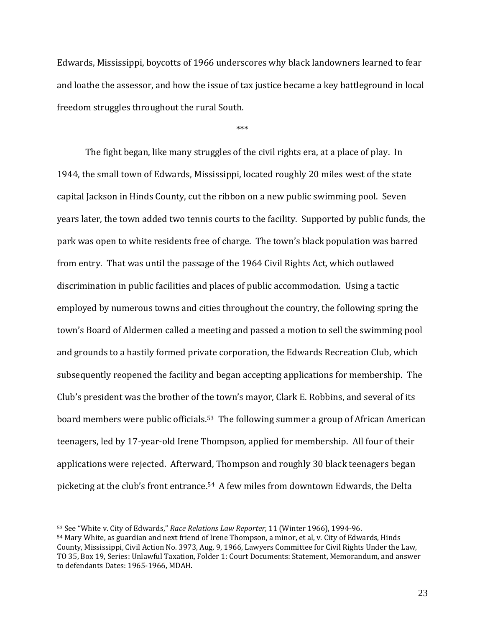Edwards, Mississippi, boycotts of 1966 underscores why black landowners learned to fear and loathe the assessor, and how the issue of tax justice became a key battleground in local freedom struggles throughout the rural South.

\*\*\*

The fight began, like many struggles of the civil rights era, at a place of play. In 1944, the small town of Edwards, Mississippi, located roughly 20 miles west of the state capital Jackson in Hinds County, cut the ribbon on a new public swimming pool. Seven years later, the town added two tennis courts to the facility. Supported by public funds, the park was open to white residents free of charge. The town's black population was barred from entry. That was until the passage of the 1964 Civil Rights Act, which outlawed discrimination in public facilities and places of public accommodation. Using a tactic employed by numerous towns and cities throughout the country, the following spring the town's Board of Aldermen called a meeting and passed a motion to sell the swimming pool and grounds to a hastily formed private corporation, the Edwards Recreation Club, which subsequently reopened the facility and began accepting applications for membership. The Club's president was the brother of the town's mayor, Clark E. Robbins, and several of its board members were public officials.<sup>53</sup> The following summer a group of African American teenagers, led by 17-year-old Irene Thompson, applied for membership. All four of their applications were rejected. Afterward, Thompson and roughly 30 black teenagers began picketing at the club's front entrance.54 A few miles from downtown Edwards, the Delta

<sup>53</sup> See "White v. City of Edwards," *Race Relations Law Reporter,* 11 (Winter 1966), 1994-96.

<sup>54</sup> Mary White, as guardian and next friend of Irene Thompson, a minor, et al, v. City of Edwards, Hinds County, Mississippi, Civil Action No. 3973, Aug. 9, 1966, Lawyers Committee for Civil Rights Under the Law, TO 35, Box 19, Series: Unlawful Taxation, Folder 1: Court Documents: Statement, Memorandum, and answer to defendants Dates: 1965-1966, MDAH.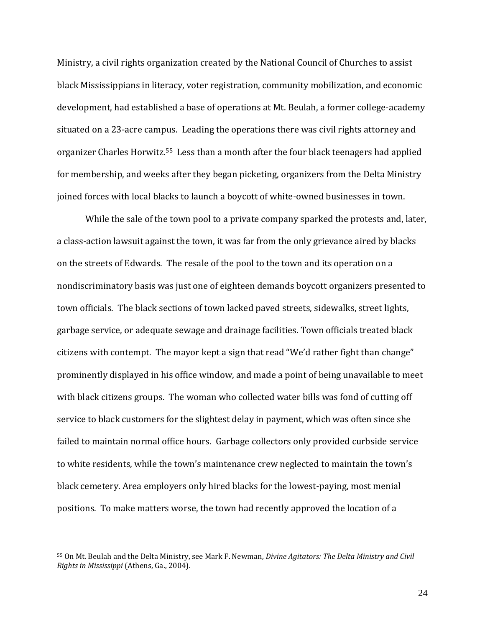Ministry, a civil rights organization created by the National Council of Churches to assist black Mississippians in literacy, voter registration, community mobilization, and economic development, had established a base of operations at Mt. Beulah, a former college-academy situated on a 23-acre campus. Leading the operations there was civil rights attorney and organizer Charles Horwitz.55 Less than a month after the four black teenagers had applied for membership, and weeks after they began picketing, organizers from the Delta Ministry joined forces with local blacks to launch a boycott of white-owned businesses in town.

While the sale of the town pool to a private company sparked the protests and, later, a class-action lawsuit against the town, it was far from the only grievance aired by blacks on the streets of Edwards. The resale of the pool to the town and its operation on a nondiscriminatory basis was just one of eighteen demands boycott organizers presented to town officials. The black sections of town lacked paved streets, sidewalks, street lights, garbage service, or adequate sewage and drainage facilities. Town officials treated black citizens with contempt. The mayor kept a sign that read "We'd rather fight than change" prominently displayed in his office window, and made a point of being unavailable to meet with black citizens groups. The woman who collected water bills was fond of cutting off service to black customers for the slightest delay in payment, which was often since she failed to maintain normal office hours. Garbage collectors only provided curbside service to white residents, while the town's maintenance crew neglected to maintain the town's black cemetery. Area employers only hired blacks for the lowest-paying, most menial positions. To make matters worse, the town had recently approved the location of a

<sup>55</sup> On Mt. Beulah and the Delta Ministry, see Mark F. Newman, *Divine Agitators: The Delta Ministry and Civil Rights in Mississippi* (Athens, Ga., 2004).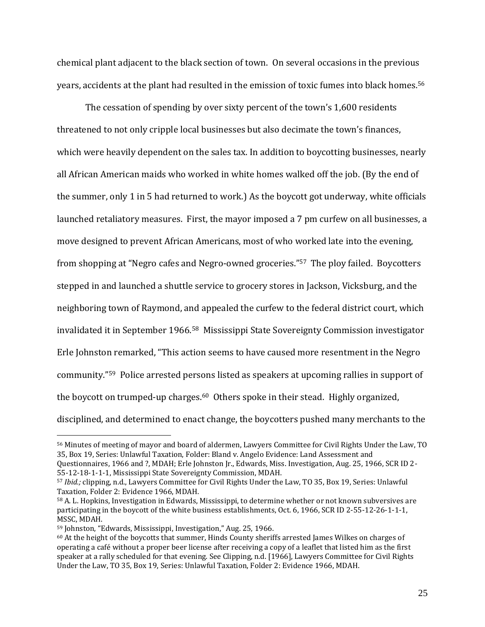chemical plant adjacent to the black section of town. On several occasions in the previous years, accidents at the plant had resulted in the emission of toxic fumes into black homes.<sup>56</sup>

The cessation of spending by over sixty percent of the town's 1,600 residents threatened to not only cripple local businesses but also decimate the town's finances, which were heavily dependent on the sales tax. In addition to boycotting businesses, nearly all African American maids who worked in white homes walked off the job. (By the end of the summer, only 1 in 5 had returned to work.) As the boycott got underway, white officials launched retaliatory measures. First, the mayor imposed a 7 pm curfew on all businesses, a move designed to prevent African Americans, most of who worked late into the evening, from shopping at "Negro cafes and Negro-owned groceries." <sup>57</sup> The ploy failed. Boycotters stepped in and launched a shuttle service to grocery stores in Jackson, Vicksburg, and the neighboring town of Raymond, and appealed the curfew to the federal district court, which invalidated it in September 1966.58 Mississippi State Sovereignty Commission investigator Erle Johnston remarked, "This action seems to have caused more resentment in the Negro community."59 Police arrested persons listed as speakers at upcoming rallies in support of the boycott on trumped-up charges.<sup>60</sup> Others spoke in their stead. Highly organized, disciplined, and determined to enact change, the boycotters pushed many merchants to the

<sup>56</sup> Minutes of meeting of mayor and board of aldermen, Lawyers Committee for Civil Rights Under the Law, TO 35, Box 19, Series: Unlawful Taxation, Folder: Bland v. Angelo Evidence: Land Assessment and Questionnaires, 1966 and ?, MDAH; Erle Johnston Jr., Edwards, Miss. Investigation, Aug. 25, 1966, SCR ID 2-

<sup>55-12-18-1-1-1,</sup> Mississippi State Sovereignty Commission, MDAH.

<sup>57</sup> *Ibid.;* clipping, n.d., Lawyers Committee for Civil Rights Under the Law, TO 35, Box 19, Series: Unlawful Taxation, Folder 2: Evidence 1966, MDAH.

<sup>58</sup> A. L. Hopkins, Investigation in Edwards, Mississippi, to determine whether or not known subversives are participating in the boycott of the white business establishments, Oct. 6, 1966, SCR ID 2-55-12-26-1-1-1, MSSC, MDAH.

<sup>59</sup> Johnston, "Edwards, Mississippi, Investigation," Aug. 25, 1966.

<sup>60</sup> At the height of the boycotts that summer, Hinds County sheriffs arrested James Wilkes on charges of operating a café without a proper beer license after receiving a copy of a leaflet that listed him as the first speaker at a rally scheduled for that evening. See Clipping, n.d. [1966], Lawyers Committee for Civil Rights Under the Law, TO 35, Box 19, Series: Unlawful Taxation, Folder 2: Evidence 1966, MDAH.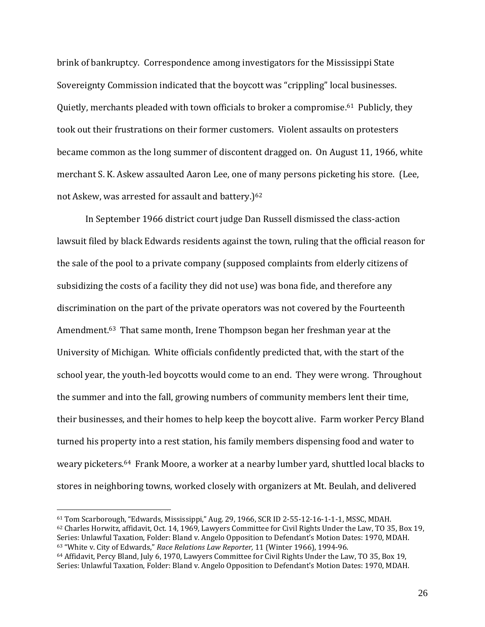brink of bankruptcy. Correspondence among investigators for the Mississippi State Sovereignty Commission indicated that the boycott was "crippling" local businesses. Quietly, merchants pleaded with town officials to broker a compromise.61 Publicly, they took out their frustrations on their former customers. Violent assaults on protesters became common as the long summer of discontent dragged on. On August 11, 1966, white merchant S. K. Askew assaulted Aaron Lee, one of many persons picketing his store. (Lee, not Askew, was arrested for assault and battery.)<sup>62</sup>

In September 1966 district court judge Dan Russell dismissed the class-action lawsuit filed by black Edwards residents against the town, ruling that the official reason for the sale of the pool to a private company (supposed complaints from elderly citizens of subsidizing the costs of a facility they did not use) was bona fide, and therefore any discrimination on the part of the private operators was not covered by the Fourteenth Amendment.63 That same month, Irene Thompson began her freshman year at the University of Michigan. White officials confidently predicted that, with the start of the school year, the youth-led boycotts would come to an end. They were wrong. Throughout the summer and into the fall, growing numbers of community members lent their time, their businesses, and their homes to help keep the boycott alive. Farm worker Percy Bland turned his property into a rest station, his family members dispensing food and water to weary picketers.<sup>64</sup> Frank Moore, a worker at a nearby lumber yard, shuttled local blacks to stores in neighboring towns, worked closely with organizers at Mt. Beulah, and delivered

<sup>61</sup> Tom Scarborough, "Edwards, Mississippi," Aug. 29, 1966, SCR ID 2-55-12-16-1-1-1, MSSC, MDAH. <sup>62</sup> Charles Horwitz, affidavit, Oct. 14, 1969, Lawyers Committee for Civil Rights Under the Law, TO 35, Box 19, Series: Unlawful Taxation, Folder: Bland v. Angelo Opposition to Defendant's Motion Dates: 1970, MDAH. <sup>63</sup> "White v. City of Edwards," *Race Relations Law Reporter,* 11 (Winter 1966), 1994-96.

<sup>64</sup> Affidavit, Percy Bland, July 6, 1970, Lawyers Committee for Civil Rights Under the Law, TO 35, Box 19, Series: Unlawful Taxation, Folder: Bland v. Angelo Opposition to Defendant's Motion Dates: 1970, MDAH.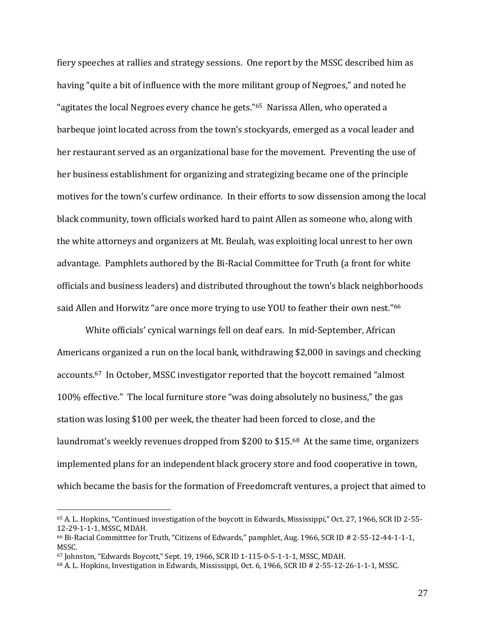fiery speeches at rallies and strategy sessions. One report by the MSSC described him as having "quite a bit of influence with the more militant group of Negroes," and noted he "agitates the local Negroes every chance he gets."65 Narissa Allen, who operated a barbeque joint located across from the town's stockyards, emerged as a vocal leader and her restaurant served as an organizational base for the movement. Preventing the use of her business establishment for organizing and strategizing became one of the principle motives for the town's curfew ordinance. In their efforts to sow dissension among the local black community, town officials worked hard to paint Allen as someone who, along with the white attorneys and organizers at Mt. Beulah, was exploiting local unrest to her own advantage. Pamphlets authored by the Bi-Racial Committee for Truth (a front for white officials and business leaders) and distributed throughout the town's black neighborhoods said Allen and Horwitz "are once more trying to use YOU to feather their own nest."<sup>66</sup>

White officials' cynical warnings fell on deaf ears. In mid-September, African Americans organized a run on the local bank, withdrawing \$2,000 in savings and checking accounts.<sup>67</sup> In October, MSSC investigator reported that the boycott remained "almost 100% effective." The local furniture store "was doing absolutely no business," the gas station was losing \$100 per week, the theater had been forced to close, and the laundromat's weekly revenues dropped from \$200 to \$15.68 At the same time, organizers implemented plans for an independent black grocery store and food cooperative in town, which became the basis for the formation of Freedomcraft ventures, a project that aimed to

<sup>65</sup> A. L. Hopkins, "Continued investigation of the boycott in Edwards, Mississippi," Oct. 27, 1966, SCR ID 2-55- 12-29-1-1-1, MSSC, MDAH.

<sup>66</sup> Bi-Racial Committtee for Truth, "Citizens of Edwards," pamphlet, Aug. 1966, SCR ID # 2-55-12-44-1-1-1, MSSC.

<sup>67</sup> Johnston, "Edwards Boycott," Sept. 19, 1966, SCR ID 1-115-0-5-1-1-1, MSSC, MDAH.

<sup>68</sup> A. L. Hopkins, Investigation in Edwards, Mississippi, Oct. 6, 1966, SCR ID # 2-55-12-26-1-1-1, MSSC.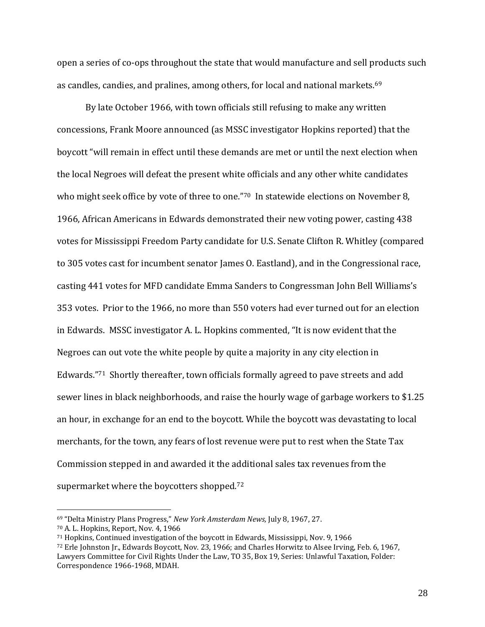open a series of co-ops throughout the state that would manufacture and sell products such as candles, candies, and pralines, among others, for local and national markets.<sup>69</sup>

By late October 1966, with town officials still refusing to make any written concessions, Frank Moore announced (as MSSC investigator Hopkins reported) that the boycott "will remain in effect until these demands are met or until the next election when the local Negroes will defeat the present white officials and any other white candidates who might seek office by vote of three to one."70 In statewide elections on November 8, 1966, African Americans in Edwards demonstrated their new voting power, casting 438 votes for Mississippi Freedom Party candidate for U.S. Senate Clifton R. Whitley (compared to 305 votes cast for incumbent senator James O. Eastland), and in the Congressional race, casting 441 votes for MFD candidate Emma Sanders to Congressman John Bell Williams's 353 votes. Prior to the 1966, no more than 550 voters had ever turned out for an election in Edwards. MSSC investigator A. L. Hopkins commented, "It is now evident that the Negroes can out vote the white people by quite a majority in any city election in Edwards."<sup>71</sup> Shortly thereafter, town officials formally agreed to pave streets and add sewer lines in black neighborhoods, and raise the hourly wage of garbage workers to \$1.25 an hour, in exchange for an end to the boycott. While the boycott was devastating to local merchants, for the town, any fears of lost revenue were put to rest when the State Tax Commission stepped in and awarded it the additional sales tax revenues from the supermarket where the boycotters shopped.<sup>72</sup>

<sup>69</sup> "Delta Ministry Plans Progress," *New York Amsterdam News,* July 8, 1967, 27.

<sup>70</sup> A. L. Hopkins, Report, Nov. 4, 1966

<sup>71</sup> Hopkins, Continued investigation of the boycott in Edwards, Mississippi, Nov. 9, 1966

<sup>72</sup> Erle Johnston Jr., Edwards Boycott, Nov. 23, 1966; and Charles Horwitz to Alsee Irving, Feb. 6, 1967, Lawyers Committee for Civil Rights Under the Law, TO 35, Box 19, Series: Unlawful Taxation, Folder: Correspondence 1966-1968, MDAH.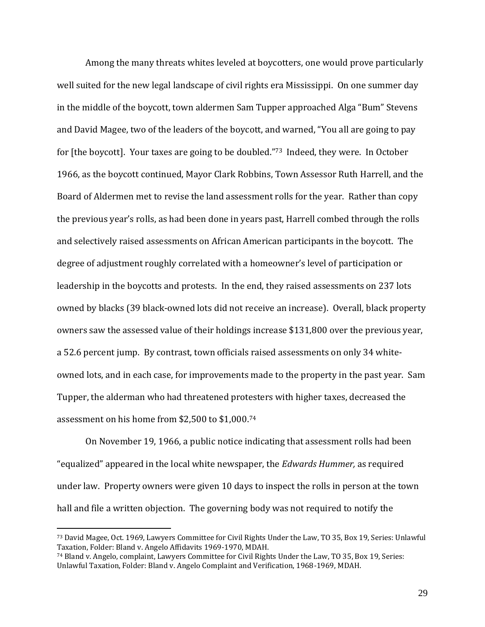Among the many threats whites leveled at boycotters, one would prove particularly well suited for the new legal landscape of civil rights era Mississippi. On one summer day in the middle of the boycott, town aldermen Sam Tupper approached Alga "Bum" Stevens and David Magee, two of the leaders of the boycott, and warned, "You all are going to pay for [the boycott]. Your taxes are going to be doubled."73 Indeed, they were. In October 1966, as the boycott continued, Mayor Clark Robbins, Town Assessor Ruth Harrell, and the Board of Aldermen met to revise the land assessment rolls for the year. Rather than copy the previous year's rolls, as had been done in years past, Harrell combed through the rolls and selectively raised assessments on African American participants in the boycott. The degree of adjustment roughly correlated with a homeowner's level of participation or leadership in the boycotts and protests. In the end, they raised assessments on 237 lots owned by blacks (39 black-owned lots did not receive an increase). Overall, black property owners saw the assessed value of their holdings increase \$131,800 over the previous year, a 52.6 percent jump. By contrast, town officials raised assessments on only 34 whiteowned lots, and in each case, for improvements made to the property in the past year. Sam Tupper, the alderman who had threatened protesters with higher taxes, decreased the assessment on his home from \$2,500 to \$1,000.<sup>74</sup>

On November 19, 1966, a public notice indicating that assessment rolls had been "equalized" appeared in the local white newspaper, the *Edwards Hummer,* as required under law. Property owners were given 10 days to inspect the rolls in person at the town hall and file a written objection. The governing body was not required to notify the

<sup>73</sup> David Magee, Oct. 1969, Lawyers Committee for Civil Rights Under the Law, TO 35, Box 19, Series: Unlawful Taxation, Folder: Bland v. Angelo Affidavits 1969-1970, MDAH.

<sup>74</sup> Bland v. Angelo, complaint, Lawyers Committee for Civil Rights Under the Law, TO 35, Box 19, Series: Unlawful Taxation, Folder: Bland v. Angelo Complaint and Verification, 1968-1969, MDAH.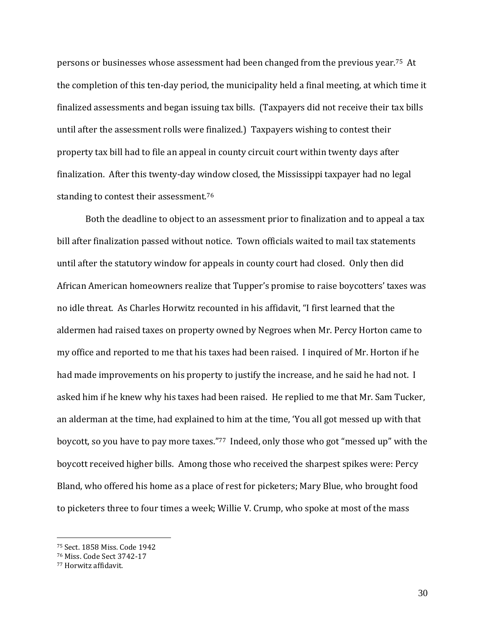persons or businesses whose assessment had been changed from the previous year.75 At the completion of this ten-day period, the municipality held a final meeting, at which time it finalized assessments and began issuing tax bills. (Taxpayers did not receive their tax bills until after the assessment rolls were finalized.) Taxpayers wishing to contest their property tax bill had to file an appeal in county circuit court within twenty days after finalization. After this twenty-day window closed, the Mississippi taxpayer had no legal standing to contest their assessment.<sup>76</sup>

Both the deadline to object to an assessment prior to finalization and to appeal a tax bill after finalization passed without notice. Town officials waited to mail tax statements until after the statutory window for appeals in county court had closed. Only then did African American homeowners realize that Tupper's promise to raise boycotters' taxes was no idle threat. As Charles Horwitz recounted in his affidavit, "I first learned that the aldermen had raised taxes on property owned by Negroes when Mr. Percy Horton came to my office and reported to me that his taxes had been raised. I inquired of Mr. Horton if he had made improvements on his property to justify the increase, and he said he had not. I asked him if he knew why his taxes had been raised. He replied to me that Mr. Sam Tucker, an alderman at the time, had explained to him at the time, 'You all got messed up with that boycott, so you have to pay more taxes."<sup>77</sup> Indeed, only those who got "messed up" with the boycott received higher bills. Among those who received the sharpest spikes were: Percy Bland, who offered his home as a place of rest for picketers; Mary Blue, who brought food to picketers three to four times a week; Willie V. Crump, who spoke at most of the mass

<sup>75</sup> Sect. 1858 Miss. Code 1942

<sup>76</sup> Miss. Code Sect 3742-17

<sup>77</sup> Horwitz affidavit.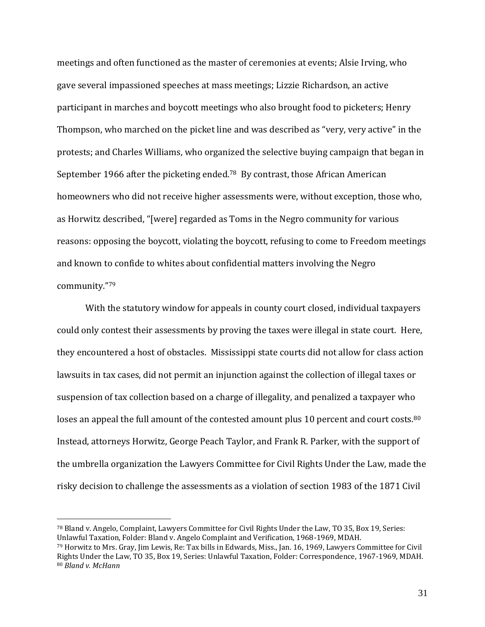meetings and often functioned as the master of ceremonies at events; Alsie Irving, who gave several impassioned speeches at mass meetings; Lizzie Richardson, an active participant in marches and boycott meetings who also brought food to picketers; Henry Thompson, who marched on the picket line and was described as "very, very active" in the protests; and Charles Williams, who organized the selective buying campaign that began in September 1966 after the picketing ended.78 By contrast, those African American homeowners who did not receive higher assessments were, without exception, those who, as Horwitz described, "[were] regarded as Toms in the Negro community for various reasons: opposing the boycott, violating the boycott, refusing to come to Freedom meetings and known to confide to whites about confidential matters involving the Negro community."<sup>79</sup>

With the statutory window for appeals in county court closed, individual taxpayers could only contest their assessments by proving the taxes were illegal in state court. Here, they encountered a host of obstacles. Mississippi state courts did not allow for class action lawsuits in tax cases, did not permit an injunction against the collection of illegal taxes or suspension of tax collection based on a charge of illegality, and penalized a taxpayer who loses an appeal the full amount of the contested amount plus 10 percent and court costs.<sup>80</sup> Instead, attorneys Horwitz, George Peach Taylor, and Frank R. Parker, with the support of the umbrella organization the Lawyers Committee for Civil Rights Under the Law, made the risky decision to challenge the assessments as a violation of section 1983 of the 1871 Civil

<sup>78</sup> Bland v. Angelo, Complaint, Lawyers Committee for Civil Rights Under the Law, TO 35, Box 19, Series: Unlawful Taxation, Folder: Bland v. Angelo Complaint and Verification, 1968-1969, MDAH.

<sup>79</sup> Horwitz to Mrs. Gray, Jim Lewis, Re: Tax bills in Edwards, Miss., Jan. 16, 1969, Lawyers Committee for Civil Rights Under the Law, TO 35, Box 19, Series: Unlawful Taxation, Folder: Correspondence, 1967-1969, MDAH. <sup>80</sup> *Bland v. McHann*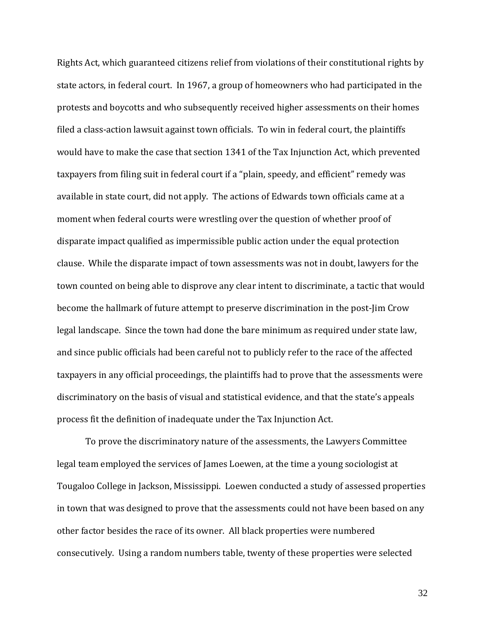Rights Act, which guaranteed citizens relief from violations of their constitutional rights by state actors, in federal court. In 1967, a group of homeowners who had participated in the protests and boycotts and who subsequently received higher assessments on their homes filed a class-action lawsuit against town officials. To win in federal court, the plaintiffs would have to make the case that section 1341 of the Tax Injunction Act, which prevented taxpayers from filing suit in federal court if a "plain, speedy, and efficient" remedy was available in state court, did not apply. The actions of Edwards town officials came at a moment when federal courts were wrestling over the question of whether proof of disparate impact qualified as impermissible public action under the equal protection clause. While the disparate impact of town assessments was not in doubt, lawyers for the town counted on being able to disprove any clear intent to discriminate, a tactic that would become the hallmark of future attempt to preserve discrimination in the post-Jim Crow legal landscape. Since the town had done the bare minimum as required under state law, and since public officials had been careful not to publicly refer to the race of the affected taxpayers in any official proceedings, the plaintiffs had to prove that the assessments were discriminatory on the basis of visual and statistical evidence, and that the state's appeals process fit the definition of inadequate under the Tax Injunction Act.

To prove the discriminatory nature of the assessments, the Lawyers Committee legal team employed the services of James Loewen, at the time a young sociologist at Tougaloo College in Jackson, Mississippi. Loewen conducted a study of assessed properties in town that was designed to prove that the assessments could not have been based on any other factor besides the race of its owner. All black properties were numbered consecutively. Using a random numbers table, twenty of these properties were selected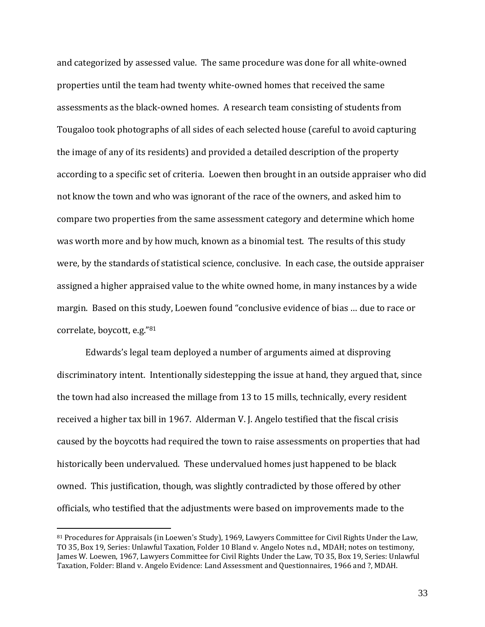and categorized by assessed value. The same procedure was done for all white-owned properties until the team had twenty white-owned homes that received the same assessments as the black-owned homes. A research team consisting of students from Tougaloo took photographs of all sides of each selected house (careful to avoid capturing the image of any of its residents) and provided a detailed description of the property according to a specific set of criteria. Loewen then brought in an outside appraiser who did not know the town and who was ignorant of the race of the owners, and asked him to compare two properties from the same assessment category and determine which home was worth more and by how much, known as a binomial test. The results of this study were, by the standards of statistical science, conclusive. In each case, the outside appraiser assigned a higher appraised value to the white owned home, in many instances by a wide margin. Based on this study, Loewen found "conclusive evidence of bias … due to race or correlate, boycott, e.g."<sup>81</sup>

Edwards's legal team deployed a number of arguments aimed at disproving discriminatory intent. Intentionally sidestepping the issue at hand, they argued that, since the town had also increased the millage from 13 to 15 mills, technically, every resident received a higher tax bill in 1967. Alderman V. J. Angelo testified that the fiscal crisis caused by the boycotts had required the town to raise assessments on properties that had historically been undervalued. These undervalued homes just happened to be black owned. This justification, though, was slightly contradicted by those offered by other officials, who testified that the adjustments were based on improvements made to the

<sup>81</sup> Procedures for Appraisals (in Loewen's Study), 1969, Lawyers Committee for Civil Rights Under the Law, TO 35, Box 19, Series: Unlawful Taxation, Folder 10 Bland v. Angelo Notes n.d., MDAH; notes on testimony, James W. Loewen, 1967, Lawyers Committee for Civil Rights Under the Law, TO 35, Box 19, Series: Unlawful Taxation, Folder: Bland v. Angelo Evidence: Land Assessment and Questionnaires, 1966 and ?, MDAH.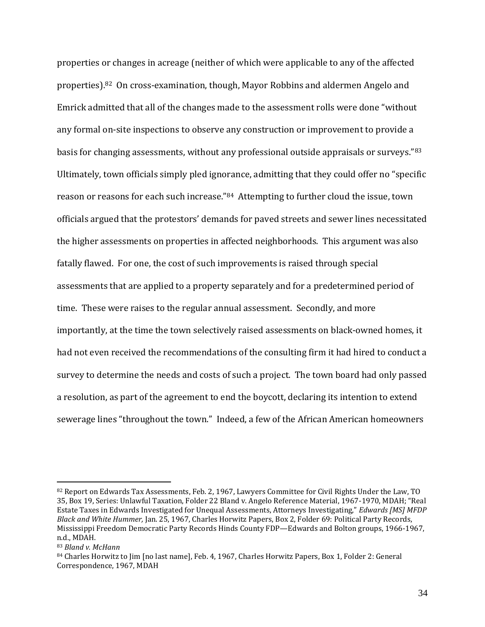properties or changes in acreage (neither of which were applicable to any of the affected properties).<sup>82</sup> On cross-examination, though, Mayor Robbins and aldermen Angelo and Emrick admitted that all of the changes made to the assessment rolls were done "without any formal on-site inspections to observe any construction or improvement to provide a basis for changing assessments, without any professional outside appraisals or surveys."<sup>83</sup> Ultimately, town officials simply pled ignorance, admitting that they could offer no "specific reason or reasons for each such increase."84 Attempting to further cloud the issue, town officials argued that the protestors' demands for paved streets and sewer lines necessitated the higher assessments on properties in affected neighborhoods. This argument was also fatally flawed. For one, the cost of such improvements is raised through special assessments that are applied to a property separately and for a predetermined period of time. These were raises to the regular annual assessment. Secondly, and more importantly, at the time the town selectively raised assessments on black-owned homes, it had not even received the recommendations of the consulting firm it had hired to conduct a survey to determine the needs and costs of such a project. The town board had only passed a resolution, as part of the agreement to end the boycott, declaring its intention to extend sewerage lines "throughout the town." Indeed, a few of the African American homeowners

<sup>82</sup> Report on Edwards Tax Assessments, Feb. 2, 1967, Lawyers Committee for Civil Rights Under the Law, TO 35, Box 19, Series: Unlawful Taxation, Folder 22 Bland v. Angelo Reference Material, 1967-1970, MDAH; "Real Estate Taxes in Edwards Investigated for Unequal Assessments, Attorneys Investigating," *Edwards [MS] MFDP Black and White Hummer,* Jan. 25, 1967, Charles Horwitz Papers, Box 2, Folder 69: Political Party Records, Mississippi Freedom Democratic Party Records Hinds County FDP—Edwards and Bolton groups, 1966-1967, n.d., MDAH.

<sup>83</sup> *Bland v. McHann*

<sup>84</sup> Charles Horwitz to Jim [no last name], Feb. 4, 1967, Charles Horwitz Papers, Box 1, Folder 2: General Correspondence, 1967, MDAH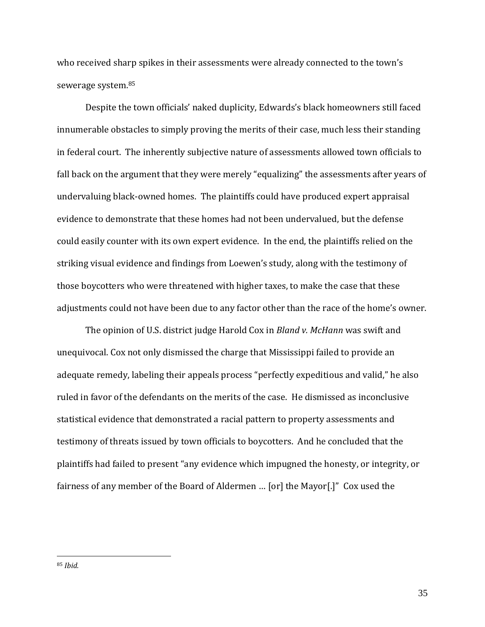who received sharp spikes in their assessments were already connected to the town's sewerage system.<sup>85</sup>

Despite the town officials' naked duplicity, Edwards's black homeowners still faced innumerable obstacles to simply proving the merits of their case, much less their standing in federal court. The inherently subjective nature of assessments allowed town officials to fall back on the argument that they were merely "equalizing" the assessments after years of undervaluing black-owned homes. The plaintiffs could have produced expert appraisal evidence to demonstrate that these homes had not been undervalued, but the defense could easily counter with its own expert evidence. In the end, the plaintiffs relied on the striking visual evidence and findings from Loewen's study, along with the testimony of those boycotters who were threatened with higher taxes, to make the case that these adjustments could not have been due to any factor other than the race of the home's owner.

The opinion of U.S. district judge Harold Cox in *Bland v. McHann* was swift and unequivocal. Cox not only dismissed the charge that Mississippi failed to provide an adequate remedy, labeling their appeals process "perfectly expeditious and valid," he also ruled in favor of the defendants on the merits of the case. He dismissed as inconclusive statistical evidence that demonstrated a racial pattern to property assessments and testimony of threats issued by town officials to boycotters. And he concluded that the plaintiffs had failed to present "any evidence which impugned the honesty, or integrity, or fairness of any member of the Board of Aldermen … [or] the Mayor[.]" Cox used the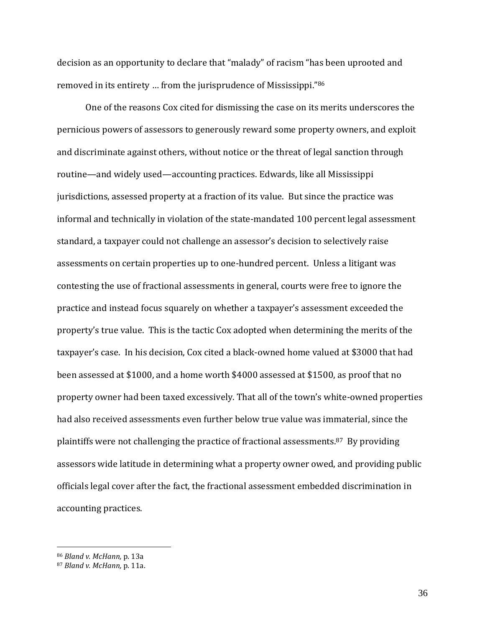decision as an opportunity to declare that "malady" of racism "has been uprooted and removed in its entirety … from the jurisprudence of Mississippi."<sup>86</sup>

One of the reasons Cox cited for dismissing the case on its merits underscores the pernicious powers of assessors to generously reward some property owners, and exploit and discriminate against others, without notice or the threat of legal sanction through routine—and widely used—accounting practices. Edwards, like all Mississippi jurisdictions, assessed property at a fraction of its value. But since the practice was informal and technically in violation of the state-mandated 100 percent legal assessment standard, a taxpayer could not challenge an assessor's decision to selectively raise assessments on certain properties up to one-hundred percent. Unless a litigant was contesting the use of fractional assessments in general, courts were free to ignore the practice and instead focus squarely on whether a taxpayer's assessment exceeded the property's true value. This is the tactic Cox adopted when determining the merits of the taxpayer's case. In his decision, Cox cited a black-owned home valued at \$3000 that had been assessed at \$1000, and a home worth \$4000 assessed at \$1500, as proof that no property owner had been taxed excessively. That all of the town's white-owned properties had also received assessments even further below true value was immaterial, since the plaintiffs were not challenging the practice of fractional assessments.87 By providing assessors wide latitude in determining what a property owner owed, and providing public officials legal cover after the fact, the fractional assessment embedded discrimination in accounting practices.

<sup>86</sup> *Bland v. McHann,* p. 13a

<sup>87</sup> *Bland v. McHann,* p. 11a.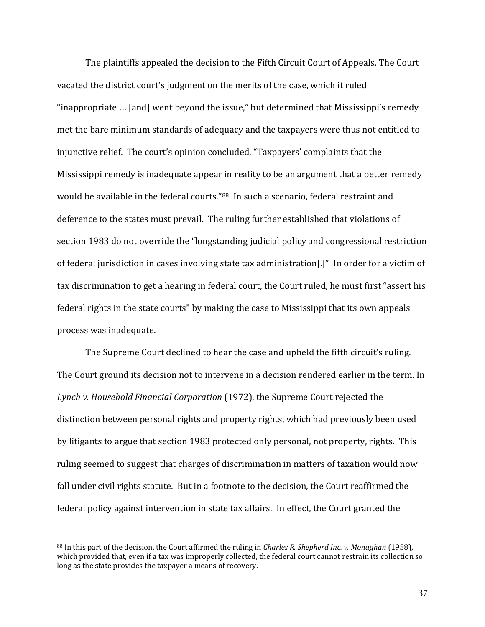The plaintiffs appealed the decision to the Fifth Circuit Court of Appeals. The Court vacated the district court's judgment on the merits of the case, which it ruled "inappropriate … [and] went beyond the issue," but determined that Mississippi's remedy met the bare minimum standards of adequacy and the taxpayers were thus not entitled to injunctive relief. The court's opinion concluded, "Taxpayers' complaints that the Mississippi remedy is inadequate appear in reality to be an argument that a better remedy would be available in the federal courts."88 In such a scenario, federal restraint and deference to the states must prevail. The ruling further established that violations of section 1983 do not override the "longstanding judicial policy and congressional restriction of federal jurisdiction in cases involving state tax administration[.]" In order for a victim of tax discrimination to get a hearing in federal court, the Court ruled, he must first "assert his federal rights in the state courts" by making the case to Mississippi that its own appeals process was inadequate.

The Supreme Court declined to hear the case and upheld the fifth circuit's ruling. The Court ground its decision not to intervene in a decision rendered earlier in the term. In *Lynch v. Household Financial Corporation* (1972), the Supreme Court rejected the distinction between personal rights and property rights, which had previously been used by litigants to argue that section 1983 protected only personal, not property, rights. This ruling seemed to suggest that charges of discrimination in matters of taxation would now fall under civil rights statute. But in a footnote to the decision, the Court reaffirmed the federal policy against intervention in state tax affairs. In effect, the Court granted the

<sup>88</sup> In this part of the decision, the Court affirmed the ruling in *Charles R. Shepherd Inc. v. Monaghan* (1958), which provided that, even if a tax was improperly collected, the federal court cannot restrain its collection so long as the state provides the taxpayer a means of recovery.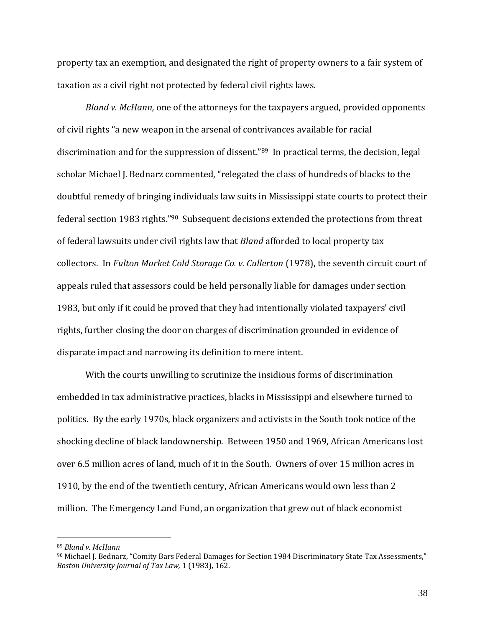property tax an exemption, and designated the right of property owners to a fair system of taxation as a civil right not protected by federal civil rights laws.

*Bland v. McHann,* one of the attorneys for the taxpayers argued, provided opponents of civil rights "a new weapon in the arsenal of contrivances available for racial discrimination and for the suppression of dissent."<sup>89</sup> In practical terms, the decision, legal scholar Michael J. Bednarz commented, "relegated the class of hundreds of blacks to the doubtful remedy of bringing individuals law suits in Mississippi state courts to protect their federal section 1983 rights."90 Subsequent decisions extended the protections from threat of federal lawsuits under civil rights law that *Bland* afforded to local property tax collectors. In *Fulton Market Cold Storage Co. v. Cullerton* (1978), the seventh circuit court of appeals ruled that assessors could be held personally liable for damages under section 1983, but only if it could be proved that they had intentionally violated taxpayers' civil rights, further closing the door on charges of discrimination grounded in evidence of disparate impact and narrowing its definition to mere intent.

With the courts unwilling to scrutinize the insidious forms of discrimination embedded in tax administrative practices, blacks in Mississippi and elsewhere turned to politics. By the early 1970s, black organizers and activists in the South took notice of the shocking decline of black landownership. Between 1950 and 1969, African Americans lost over 6.5 million acres of land, much of it in the South. Owners of over 15 million acres in 1910, by the end of the twentieth century, African Americans would own less than 2 million. The Emergency Land Fund, an organization that grew out of black economist

<sup>89</sup> *Bland v. McHann*

<sup>90</sup> Michael J. Bednarz, "Comity Bars Federal Damages for Section 1984 Discriminatory State Tax Assessments," *Boston University Journal of Tax Law,* 1 (1983), 162.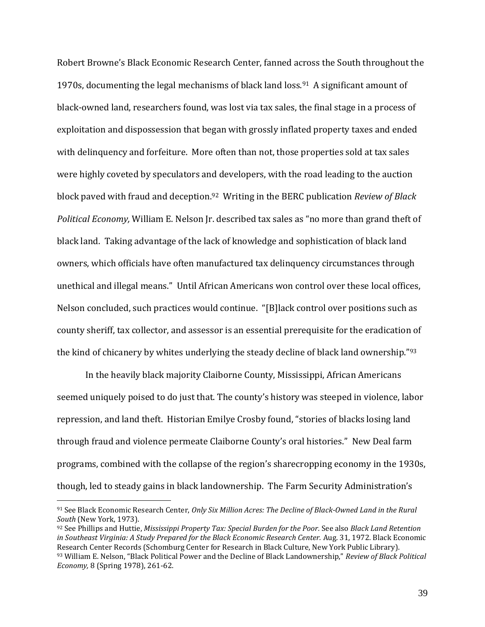Robert Browne's Black Economic Research Center, fanned across the South throughout the 1970s, documenting the legal mechanisms of black land loss.91 A significant amount of black-owned land, researchers found, was lost via tax sales, the final stage in a process of exploitation and dispossession that began with grossly inflated property taxes and ended with delinquency and forfeiture. More often than not, those properties sold at tax sales were highly coveted by speculators and developers, with the road leading to the auction block paved with fraud and deception.92 Writing in the BERC publication *Review of Black Political Economy,* William E. Nelson Jr. described tax sales as "no more than grand theft of black land. Taking advantage of the lack of knowledge and sophistication of black land owners, which officials have often manufactured tax delinquency circumstances through unethical and illegal means." Until African Americans won control over these local offices, Nelson concluded, such practices would continue. "[B]lack control over positions such as county sheriff, tax collector, and assessor is an essential prerequisite for the eradication of the kind of chicanery by whites underlying the steady decline of black land ownership."<sup>93</sup>

In the heavily black majority Claiborne County, Mississippi, African Americans seemed uniquely poised to do just that. The county's history was steeped in violence, labor repression, and land theft. Historian Emilye Crosby found, "stories of blacks losing land through fraud and violence permeate Claiborne County's oral histories." New Deal farm programs, combined with the collapse of the region's sharecropping economy in the 1930s, though, led to steady gains in black landownership. The Farm Security Administration's

<sup>91</sup> See Black Economic Research Center, *Only Six Million Acres: The Decline of Black-Owned Land in the Rural South* (New York, 1973).

<sup>92</sup> See Phillips and Huttie, *Mississippi Property Tax: Special Burden for the Poor.* See also *Black Land Retention in Southeast Virginia: A Study Prepared for the Black Economic Research Center.* Aug. 31, 1972. Black Economic Research Center Records (Schomburg Center for Research in Black Culture, New York Public Library). <sup>93</sup> William E. Nelson, "Black Political Power and the Decline of Black Landownership," *Review of Black Political Economy,* 8 (Spring 1978), 261-62.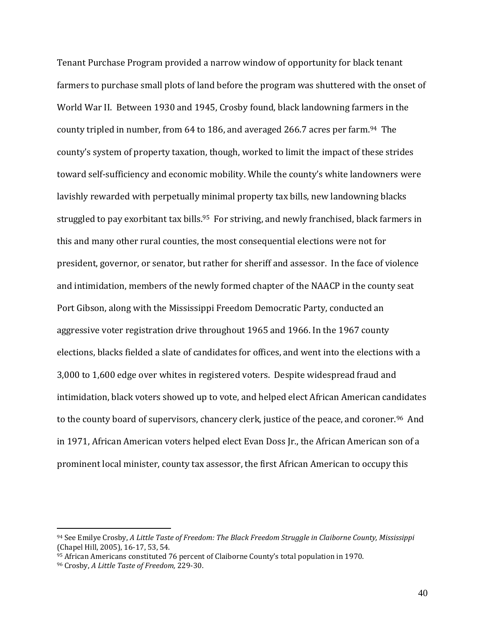Tenant Purchase Program provided a narrow window of opportunity for black tenant farmers to purchase small plots of land before the program was shuttered with the onset of World War II. Between 1930 and 1945, Crosby found, black landowning farmers in the county tripled in number, from 64 to 186, and averaged 266.7 acres per farm.<sup>94</sup> The county's system of property taxation, though, worked to limit the impact of these strides toward self-sufficiency and economic mobility. While the county's white landowners were lavishly rewarded with perpetually minimal property tax bills, new landowning blacks struggled to pay exorbitant tax bills.<sup>95</sup> For striving, and newly franchised, black farmers in this and many other rural counties, the most consequential elections were not for president, governor, or senator, but rather for sheriff and assessor. In the face of violence and intimidation, members of the newly formed chapter of the NAACP in the county seat Port Gibson, along with the Mississippi Freedom Democratic Party, conducted an aggressive voter registration drive throughout 1965 and 1966. In the 1967 county elections, blacks fielded a slate of candidates for offices, and went into the elections with a 3,000 to 1,600 edge over whites in registered voters. Despite widespread fraud and intimidation, black voters showed up to vote, and helped elect African American candidates to the county board of supervisors, chancery clerk, justice of the peace, and coroner.<sup>96</sup> And in 1971, African American voters helped elect Evan Doss Jr., the African American son of a prominent local minister, county tax assessor, the first African American to occupy this

<sup>94</sup> See Emilye Crosby, *A Little Taste of Freedom: The Black Freedom Struggle in Claiborne County, Mississippi*  (Chapel Hill, 2005), 16-17, 53, 54.

<sup>95</sup> African Americans constituted 76 percent of Claiborne County's total population in 1970. <sup>96</sup> Crosby, *A Little Taste of Freedom,* 229-30.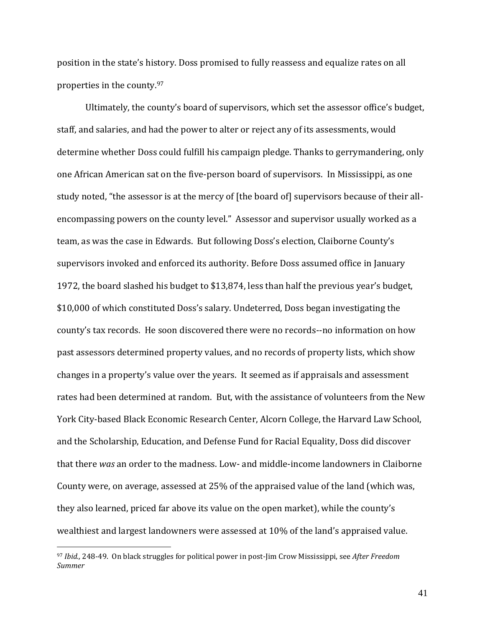position in the state's history. Doss promised to fully reassess and equalize rates on all properties in the county.<sup>97</sup>

Ultimately, the county's board of supervisors, which set the assessor office's budget, staff, and salaries, and had the power to alter or reject any of its assessments, would determine whether Doss could fulfill his campaign pledge. Thanks to gerrymandering, only one African American sat on the five-person board of supervisors. In Mississippi, as one study noted, "the assessor is at the mercy of [the board of] supervisors because of their allencompassing powers on the county level." Assessor and supervisor usually worked as a team, as was the case in Edwards. But following Doss's election, Claiborne County's supervisors invoked and enforced its authority. Before Doss assumed office in January 1972, the board slashed his budget to \$13,874, less than half the previous year's budget, \$10,000 of which constituted Doss's salary. Undeterred, Doss began investigating the county's tax records. He soon discovered there were no records--no information on how past assessors determined property values, and no records of property lists, which show changes in a property's value over the years. It seemed as if appraisals and assessment rates had been determined at random. But, with the assistance of volunteers from the New York City-based Black Economic Research Center, Alcorn College, the Harvard Law School, and the Scholarship, Education, and Defense Fund for Racial Equality, Doss did discover that there *was* an order to the madness. Low- and middle-income landowners in Claiborne County were, on average, assessed at 25% of the appraised value of the land (which was, they also learned, priced far above its value on the open market), while the county's wealthiest and largest landowners were assessed at 10% of the land's appraised value.

<sup>97</sup> *Ibid.,* 248-49. On black struggles for political power in post-Jim Crow Mississippi, see *After Freedom Summer*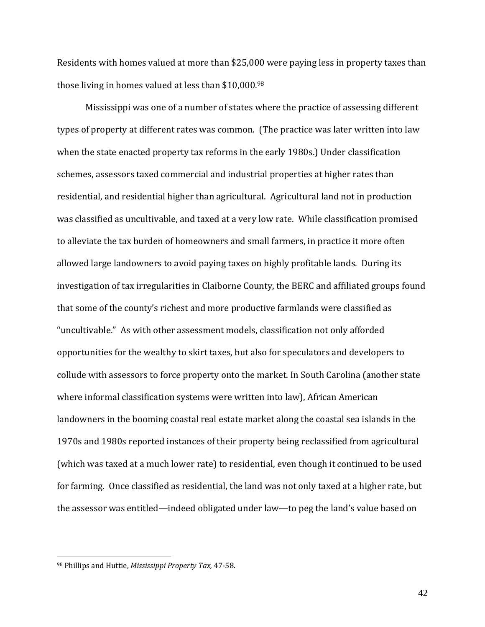Residents with homes valued at more than \$25,000 were paying less in property taxes than those living in homes valued at less than \$10,000.<sup>98</sup>

Mississippi was one of a number of states where the practice of assessing different types of property at different rates was common. (The practice was later written into law when the state enacted property tax reforms in the early 1980s.) Under classification schemes, assessors taxed commercial and industrial properties at higher rates than residential, and residential higher than agricultural. Agricultural land not in production was classified as uncultivable, and taxed at a very low rate. While classification promised to alleviate the tax burden of homeowners and small farmers, in practice it more often allowed large landowners to avoid paying taxes on highly profitable lands. During its investigation of tax irregularities in Claiborne County, the BERC and affiliated groups found that some of the county's richest and more productive farmlands were classified as "uncultivable." As with other assessment models, classification not only afforded opportunities for the wealthy to skirt taxes, but also for speculators and developers to collude with assessors to force property onto the market. In South Carolina (another state where informal classification systems were written into law), African American landowners in the booming coastal real estate market along the coastal sea islands in the 1970s and 1980s reported instances of their property being reclassified from agricultural (which was taxed at a much lower rate) to residential, even though it continued to be used for farming. Once classified as residential, the land was not only taxed at a higher rate, but the assessor was entitled—indeed obligated under law—to peg the land's value based on

 $\overline{a}$ 

<sup>98</sup> Phillips and Huttie, *Mississippi Property Tax,* 47-58.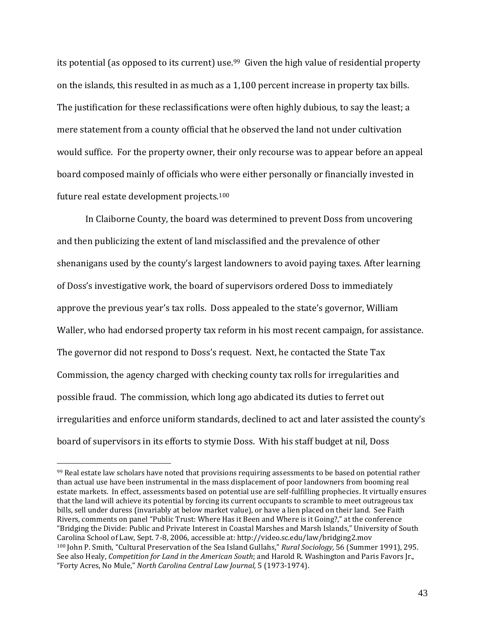its potential (as opposed to its current) use.<sup>99</sup> Given the high value of residential property on the islands, this resulted in as much as a 1,100 percent increase in property tax bills. The justification for these reclassifications were often highly dubious, to say the least; a mere statement from a county official that he observed the land not under cultivation would suffice. For the property owner, their only recourse was to appear before an appeal board composed mainly of officials who were either personally or financially invested in future real estate development projects.<sup>100</sup>

In Claiborne County, the board was determined to prevent Doss from uncovering and then publicizing the extent of land misclassified and the prevalence of other shenanigans used by the county's largest landowners to avoid paying taxes. After learning of Doss's investigative work, the board of supervisors ordered Doss to immediately approve the previous year's tax rolls. Doss appealed to the state's governor, William Waller, who had endorsed property tax reform in his most recent campaign, for assistance. The governor did not respond to Doss's request. Next, he contacted the State Tax Commission, the agency charged with checking county tax rolls for irregularities and possible fraud. The commission, which long ago abdicated its duties to ferret out irregularities and enforce uniform standards, declined to act and later assisted the county's board of supervisors in its efforts to stymie Doss. With his staff budget at nil, Doss

 $99$  Real estate law scholars have noted that provisions requiring assessments to be based on potential rather than actual use have been instrumental in the mass displacement of poor landowners from booming real estate markets. In effect, assessments based on potential use are self-fulfilling prophecies. It virtually ensures that the land will achieve its potential by forcing its current occupants to scramble to meet outrageous tax bills, sell under duress (invariably at below market value), or have a lien placed on their land. See Faith Rivers, comments on panel "Public Trust: Where Has it Been and Where is it Going?," at the conference "Bridging the Divide: Public and Private Interest in Coastal Marshes and Marsh Islands," University of South Carolina School of Law, Sept. 7-8, 2006, accessible at: http://video.sc.edu/law/bridging2.mov <sup>100</sup> John P. Smith, "Cultural Preservation of the Sea Island Gullahs," *Rural Sociology,* 56 (Summer 1991), 295. See also Healy, *Competition for Land in the American South*; and Harold R. Washington and Paris Favors Jr., "Forty Acres, No Mule," *North Carolina Central Law Journal,* 5 (1973-1974).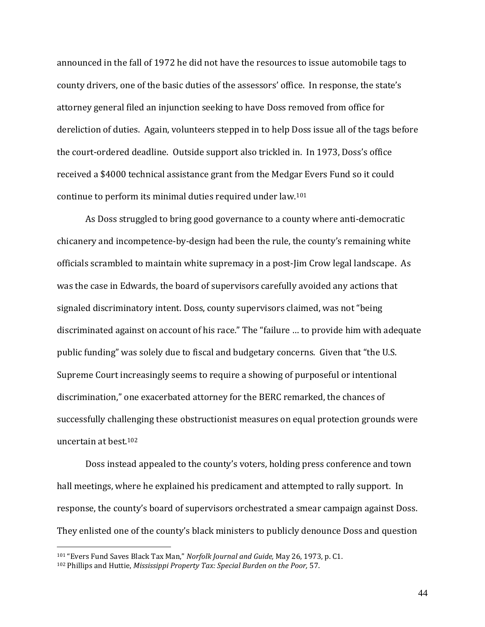announced in the fall of 1972 he did not have the resources to issue automobile tags to county drivers, one of the basic duties of the assessors' office. In response, the state's attorney general filed an injunction seeking to have Doss removed from office for dereliction of duties. Again, volunteers stepped in to help Doss issue all of the tags before the court-ordered deadline. Outside support also trickled in. In 1973, Doss's office received a \$4000 technical assistance grant from the Medgar Evers Fund so it could continue to perform its minimal duties required under law.<sup>101</sup>

As Doss struggled to bring good governance to a county where anti-democratic chicanery and incompetence-by-design had been the rule, the county's remaining white officials scrambled to maintain white supremacy in a post-Jim Crow legal landscape. As was the case in Edwards, the board of supervisors carefully avoided any actions that signaled discriminatory intent. Doss, county supervisors claimed, was not "being discriminated against on account of his race." The "failure … to provide him with adequate public funding" was solely due to fiscal and budgetary concerns. Given that "the U.S. Supreme Court increasingly seems to require a showing of purposeful or intentional discrimination," one exacerbated attorney for the BERC remarked, the chances of successfully challenging these obstructionist measures on equal protection grounds were uncertain at best.<sup>102</sup>

Doss instead appealed to the county's voters, holding press conference and town hall meetings, where he explained his predicament and attempted to rally support. In response, the county's board of supervisors orchestrated a smear campaign against Doss. They enlisted one of the county's black ministers to publicly denounce Doss and question

 $\overline{a}$ 

<sup>101</sup> "Evers Fund Saves Black Tax Man," *Norfolk Journal and Guide,* May 26, 1973, p. C1.

<sup>102</sup> Phillips and Huttie, *Mississippi Property Tax: Special Burden on the Poor,* 57.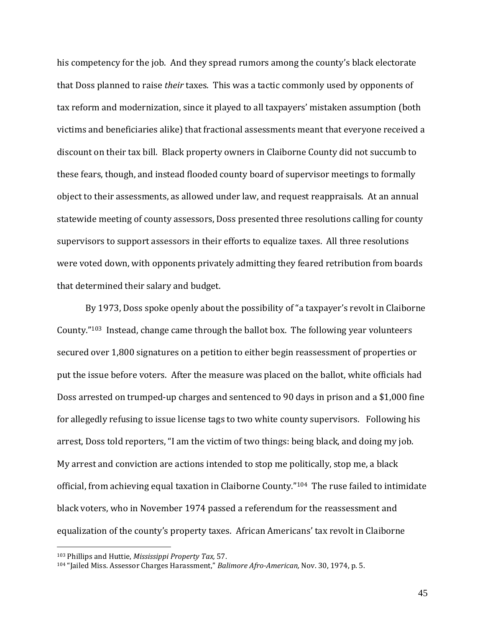his competency for the job. And they spread rumors among the county's black electorate that Doss planned to raise *their* taxes. This was a tactic commonly used by opponents of tax reform and modernization, since it played to all taxpayers' mistaken assumption (both victims and beneficiaries alike) that fractional assessments meant that everyone received a discount on their tax bill. Black property owners in Claiborne County did not succumb to these fears, though, and instead flooded county board of supervisor meetings to formally object to their assessments, as allowed under law, and request reappraisals. At an annual statewide meeting of county assessors, Doss presented three resolutions calling for county supervisors to support assessors in their efforts to equalize taxes. All three resolutions were voted down, with opponents privately admitting they feared retribution from boards that determined their salary and budget.

By 1973, Doss spoke openly about the possibility of "a taxpayer's revolt in Claiborne County."<sup>103</sup> Instead, change came through the ballot box. The following year volunteers secured over 1,800 signatures on a petition to either begin reassessment of properties or put the issue before voters. After the measure was placed on the ballot, white officials had Doss arrested on trumped-up charges and sentenced to 90 days in prison and a \$1,000 fine for allegedly refusing to issue license tags to two white county supervisors. Following his arrest, Doss told reporters, "I am the victim of two things: being black, and doing my job. My arrest and conviction are actions intended to stop me politically, stop me, a black official, from achieving equal taxation in Claiborne County."104 The ruse failed to intimidate black voters, who in November 1974 passed a referendum for the reassessment and equalization of the county's property taxes. African Americans' tax revolt in Claiborne

 $\overline{a}$ 

<sup>103</sup> Phillips and Huttie, *Mississippi Property Tax,* 57.

<sup>104</sup> "Jailed Miss. Assessor Charges Harassment," *Balimore Afro-American,* Nov. 30, 1974, p. 5.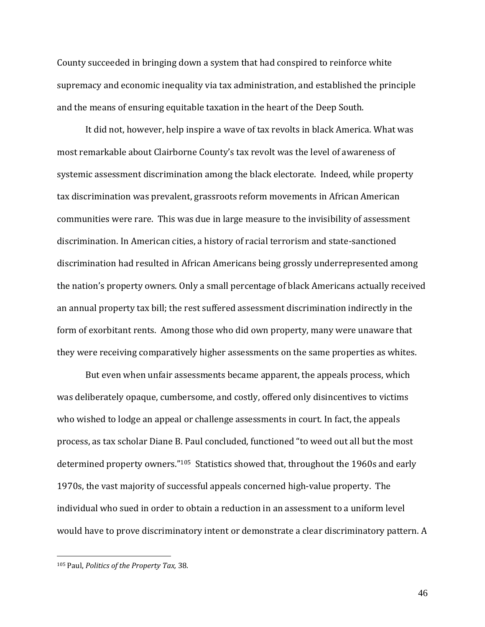County succeeded in bringing down a system that had conspired to reinforce white supremacy and economic inequality via tax administration, and established the principle and the means of ensuring equitable taxation in the heart of the Deep South.

It did not, however, help inspire a wave of tax revolts in black America. What was most remarkable about Clairborne County's tax revolt was the level of awareness of systemic assessment discrimination among the black electorate. Indeed, while property tax discrimination was prevalent, grassroots reform movements in African American communities were rare. This was due in large measure to the invisibility of assessment discrimination. In American cities, a history of racial terrorism and state-sanctioned discrimination had resulted in African Americans being grossly underrepresented among the nation's property owners. Only a small percentage of black Americans actually received an annual property tax bill; the rest suffered assessment discrimination indirectly in the form of exorbitant rents. Among those who did own property, many were unaware that they were receiving comparatively higher assessments on the same properties as whites.

But even when unfair assessments became apparent, the appeals process, which was deliberately opaque, cumbersome, and costly, offered only disincentives to victims who wished to lodge an appeal or challenge assessments in court. In fact, the appeals process, as tax scholar Diane B. Paul concluded, functioned "to weed out all but the most determined property owners."105 Statistics showed that, throughout the 1960s and early 1970s, the vast majority of successful appeals concerned high-value property. The individual who sued in order to obtain a reduction in an assessment to a uniform level would have to prove discriminatory intent or demonstrate a clear discriminatory pattern. A

 $\overline{a}$ 

<sup>105</sup> Paul, *Politics of the Property Tax,* 38.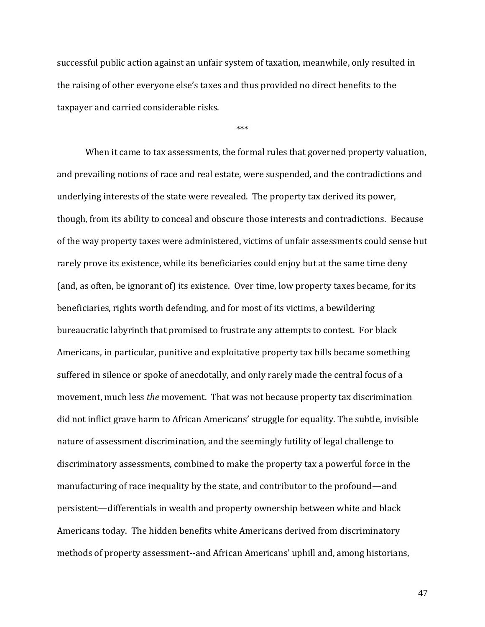successful public action against an unfair system of taxation, meanwhile, only resulted in the raising of other everyone else's taxes and thus provided no direct benefits to the taxpayer and carried considerable risks.

\*\*\*

When it came to tax assessments, the formal rules that governed property valuation, and prevailing notions of race and real estate, were suspended, and the contradictions and underlying interests of the state were revealed. The property tax derived its power, though, from its ability to conceal and obscure those interests and contradictions. Because of the way property taxes were administered, victims of unfair assessments could sense but rarely prove its existence, while its beneficiaries could enjoy but at the same time deny (and, as often, be ignorant of) its existence. Over time, low property taxes became, for its beneficiaries, rights worth defending, and for most of its victims, a bewildering bureaucratic labyrinth that promised to frustrate any attempts to contest. For black Americans, in particular, punitive and exploitative property tax bills became something suffered in silence or spoke of anecdotally, and only rarely made the central focus of a movement, much less *the* movement. That was not because property tax discrimination did not inflict grave harm to African Americans' struggle for equality. The subtle, invisible nature of assessment discrimination, and the seemingly futility of legal challenge to discriminatory assessments, combined to make the property tax a powerful force in the manufacturing of race inequality by the state, and contributor to the profound—and persistent—differentials in wealth and property ownership between white and black Americans today. The hidden benefits white Americans derived from discriminatory methods of property assessment--and African Americans' uphill and, among historians,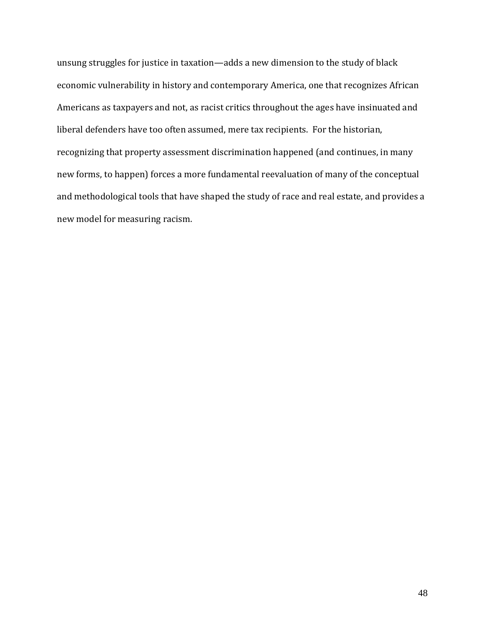unsung struggles for justice in taxation—adds a new dimension to the study of black economic vulnerability in history and contemporary America, one that recognizes African Americans as taxpayers and not, as racist critics throughout the ages have insinuated and liberal defenders have too often assumed, mere tax recipients. For the historian, recognizing that property assessment discrimination happened (and continues, in many new forms, to happen) forces a more fundamental reevaluation of many of the conceptual and methodological tools that have shaped the study of race and real estate, and provides a new model for measuring racism.